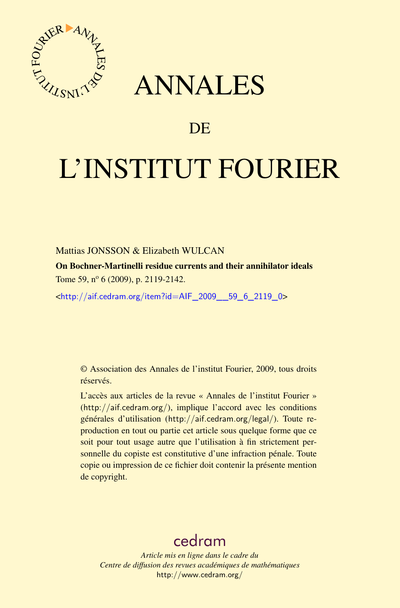

## ANNALES

## **DE**

# L'INSTITUT FOURIER

#### Mattias JONSSON & Elizabeth WULCAN

On Bochner-Martinelli residue currents and their annihilator ideals Tome 59, n<sup>o</sup> 6 (2009), p. 2119-2142.

<[http://aif.cedram.org/item?id=AIF\\_2009\\_\\_59\\_6\\_2119\\_0](http://aif.cedram.org/item?id=AIF_2009__59_6_2119_0)>

© Association des Annales de l'institut Fourier, 2009, tous droits réservés.

L'accès aux articles de la revue « Annales de l'institut Fourier » (<http://aif.cedram.org/>), implique l'accord avec les conditions générales d'utilisation (<http://aif.cedram.org/legal/>). Toute reproduction en tout ou partie cet article sous quelque forme que ce soit pour tout usage autre que l'utilisation à fin strictement personnelle du copiste est constitutive d'une infraction pénale. Toute copie ou impression de ce fichier doit contenir la présente mention de copyright.

## [cedram](http://www.cedram.org/)

*Article mis en ligne dans le cadre du Centre de diffusion des revues académiques de mathématiques* <http://www.cedram.org/>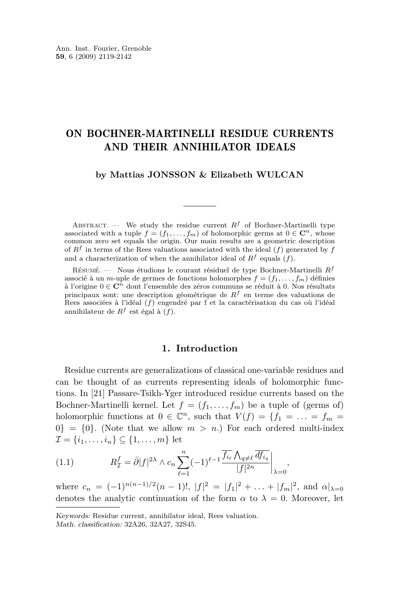### <span id="page-1-0"></span>ON BOCHNER-MARTINELLI RESIDUE CURRENTS AND THEIR ANNIHILATOR IDEALS

#### **by Mattias JONSSON & Elizabeth WULCAN**

ABSTRACT. — We study the residue current  $R^f$  of Bochner-Martinelli type associated with a tuple  $f = (f_1, \ldots, f_m)$  of holomorphic germs at  $0 \in \mathbb{C}^n$ , whose common zero set equals the origin. Our main results are a geometric description of *R<sup>f</sup>* in terms of the Rees valuations associated with the ideal (*f*) generated by *f* and a characterization of when the annihilator ideal of  $R^f$  equals (*f*).

Résumé. — Nous étudions le courant résiduel de type Bochner-Martinelli *R<sup>f</sup>* associé à un *m*-uple de germes de fonctions holomorphes  $f = (f_1, \ldots, f_m)$  définies à l'origine 0 *∈* **C***<sup>n</sup>* dont l'ensemble des zéros communs se réduit à 0. Nos résultats principaux sont: une description géométrique de *R<sup>f</sup>* en terme des valuations de Rees associées à l'idéal (*f*) engendré par f et la caractérisation du cas où l'idéal annihilateur de *R<sup>f</sup>* est égal à (*f*).

#### **1. Introduction**

Residue currents are generalizations of classical one-variable residues and can be thought of as currents representing ideals of holomorphic functions. In [\[21\]](#page-24-0) Passare-Tsikh-Yger introduced residue currents based on the Bochner-Martinelli kernel. Let  $f = (f_1, \ldots, f_m)$  be a tuple of (germs of) holomorphic functions at  $0 \in \mathbb{C}^n$ , such that  $V(f) = \{f_1 = \ldots = f_m =$  $0$ } = {0}. (Note that we allow  $m > n$ .) For each ordered multi-index *I* = { $i_1, ..., i_n$ } ⊆ { $1, ..., m$ } let

(1.1) 
$$
R_{\mathcal{I}}^{f} = \bar{\partial}|f|^{2\lambda} \wedge c_{n} \sum_{\ell=1}^{n} (-1)^{\ell-1} \frac{\overline{f_{i_{\ell}}} \wedge_{q \neq \ell} \overline{df_{i_{q}}}}{|f|^{2n}}\bigg|_{\lambda=0}
$$

where  $c_n = (-1)^{n(n-1)/2}(n-1)!$ ,  $|f|^2 = |f_1|^2 + ... + |f_m|^2$ , and  $\alpha|_{\lambda=0}$ denotes the analytic continuation of the form  $\alpha$  to  $\lambda = 0$ . Moreover, let

*,*

Keywords: Residue current, annihilator ideal, Rees valuation. Math. classification: 32A26, 32A27, 32S45.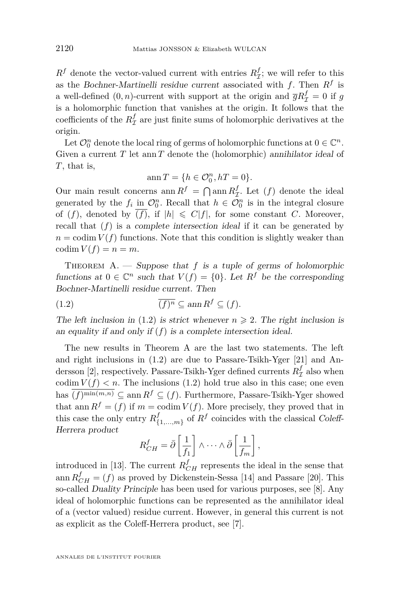<span id="page-2-0"></span> $R^f$  denote the vector-valued current with entries  $R^f_{\mathcal{I}}$ ; we will refer to this as the Bochner-Martinelli residue current associated with *f*. Then *R<sup>f</sup>* is a well-defined  $(0, n)$ -current with support at the origin and  $\overline{g}R^f_{\mathcal{I}} = 0$  if  $g$ is a holomorphic function that vanishes at the origin. It follows that the coefficients of the  $R^f_\mathcal{I}$  are just finite sums of holomorphic derivatives at the origin.

Let  $\mathcal{O}_0^n$  denote the local ring of germs of holomorphic functions at  $0 \in \mathbb{C}^n$ . Given a current *T* let ann *T* denote the (holomorphic) annihilator ideal of *T*, that is,

$$
\operatorname{ann} T=\{h\in \mathcal{O}_0^n, hT=0\}.
$$

Our main result concerns ann  $R^f = \bigcap \text{ann } R^f_{\mathcal{I}}$ . Let  $(f)$  denote the ideal generated by the  $f_i$  in  $\mathcal{O}_0^n$ . Recall that  $h \in \mathcal{O}_0^n$  is in the integral closure of (*f*), denoted by  $\overline{(f)}$ , if  $|h| \le C|f|$ , for some constant *C*. Moreover, recall that  $(f)$  is a complete intersection ideal if it can be generated by  $n = \text{codim } V(f)$  functions. Note that this condition is slightly weaker than  $\operatorname{codim} V(f) = n = m.$ 

THEOREM A. — Suppose that  $f$  is a tuple of germs of holomorphic functions at  $0 \in \mathbb{C}^n$  such that  $V(f) = \{0\}$ . Let  $R^f$  be the corresponding Bochner-Martinelli residue current. Then

(1.2) 
$$
\overline{(f)^n} \subseteq \operatorname{ann} R^f \subseteq (f).
$$

The left inclusion in (1.2) is strict whenever  $n \geq 2$ . The right inclusion is an equality if and only if (*f*) is a complete intersection ideal.

The new results in Theorem A are the last two statements. The left and right inclusions in (1.2) are due to Passare-Tsikh-Yger [\[21\]](#page-24-0) and An-dersson [\[2\]](#page-23-0), respectively. Passare-Tsikh-Yger defined currents  $R^f_{\mathcal{I}}$  also when codim  $V(f) < n$ . The inclusions (1.2) hold true also in this case; one even has  $(f)$ <sup>min(*m*,*n*)</sub> ⊆ ann  $R^f$  ⊆ (*f*). Furthermore, Passare-Tsikh-Yger showed</sup> that ann  $R^f = (f)$  if  $m = \text{codim } V(f)$ . More precisely, they proved that in this case the only entry  $R_f^f$  $\{1,\ldots,m\}$  of  $R^f$  coincides with the classical Coleff-Herrera product

$$
R_{CH}^f = \bar{\partial} \left[ \frac{1}{f_1} \right] \wedge \cdots \wedge \bar{\partial} \left[ \frac{1}{f_m} \right],
$$

introduced in [\[13\]](#page-23-0). The current  $R_{CH}^f$  represents the ideal in the sense that ann  $R_{CH}^f = (f)$  as proved by Dickenstein-Sessa [\[14\]](#page-23-0) and Passare [\[20\]](#page-24-0). This so-called Duality Principle has been used for various purposes, see [\[8\]](#page-23-0). Any ideal of holomorphic functions can be represented as the annihilator ideal of a (vector valued) residue current. However, in general this current is not as explicit as the Coleff-Herrera product, see [\[7\]](#page-23-0).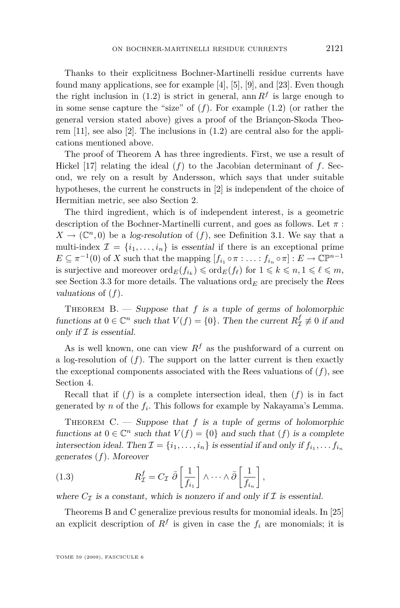<span id="page-3-0"></span>Thanks to their explicitness Bochner-Martinelli residue currents have found many applications, see for example [\[4\]](#page-23-0), [\[5\]](#page-23-0), [\[9\]](#page-23-0), and [\[23\]](#page-24-0). Even though the right inclusion in [\(1.2\)](#page-2-0) is strict in general, ann  $R<sup>f</sup>$  is large enough to in some sense capture the "size" of (*f*). For example [\(1.2\)](#page-2-0) (or rather the general version stated above) gives a proof of the Briançon-Skoda Theorem [\[11\]](#page-23-0), see also [\[2\]](#page-23-0). The inclusions in [\(1.2\)](#page-2-0) are central also for the applications mentioned above.

The proof of Theorem A has three ingredients. First, we use a result of Hickel [\[17\]](#page-23-0) relating the ideal  $(f)$  to the Jacobian determinant of  $f$ . Second, we rely on a result by Andersson, which says that under suitable hypotheses, the current he constructs in [\[2\]](#page-23-0) is independent of the choice of Hermitian metric, see also Section [2.](#page-4-0)

The third ingredient, which is of independent interest, is a geometric description of the Bochner-Martinelli current, and goes as follows. Let *π* :  $X \to (\mathbb{C}^n, 0)$  be a log-resolution of  $(f)$ , see Definition [3.1.](#page-7-0) We say that a multi-index  $\mathcal{I} = \{i_1, \ldots, i_n\}$  is essential if there is an exceptional prime  $E \subseteq \pi^{-1}(0)$  of *X* such that the mapping  $[f_{i_1} \circ \pi : \ldots : f_{i_n} \circ \pi] : E \to \mathbb{C}\mathbb{P}^{n-1}$ is surjective and moreover  $\text{ord}_E(f_{i_k}) \leq \text{ord}_E(f_{\ell})$  for  $1 \leq k \leq n, 1 \leq \ell \leq m$ , see Section [3.3](#page-9-0) for more details. The valuations  $\text{ord}_E$  are precisely the Rees valuations of (*f*).

THEOREM  $B.$  — Suppose that f is a tuple of germs of holomorphic functions at  $0 \in \mathbb{C}^n$  such that  $V(f) = \{0\}$ . Then the current  $R^f_{\mathcal{I}} \not\equiv 0$  if and only if  $I$  is essential.

As is well known, one can view  $R^f$  as the pushforward of a current on a log-resolution of  $(f)$ . The support on the latter current is then exactly the exceptional components associated with the Rees valuations of  $(f)$ , see Section [4.](#page-10-0)

Recall that if  $(f)$  is a complete intersection ideal, then  $(f)$  is in fact generated by *n* of the *f<sup>i</sup>* . This follows for example by Nakayama's Lemma.

THEOREM  $C.$  — Suppose that  $f$  is a tuple of germs of holomorphic functions at  $0 \in \mathbb{C}^n$  such that  $V(f) = \{0\}$  and such that  $(f)$  is a complete intersection ideal. Then  $\mathcal{I} = \{i_1, \ldots, i_n\}$  is essential if and only if  $f_{i_1}, \ldots, f_{i_n}$ generates (*f*). Moreover

(1.3) 
$$
R_{\mathcal{I}}^{f} = C_{\mathcal{I}} \bar{\partial} \left[ \frac{1}{f_{i_1}} \right] \wedge \cdots \wedge \bar{\partial} \left[ \frac{1}{f_{i_n}} \right],
$$

where  $C_{\mathcal{I}}$  is a constant, which is nonzero if and only if  $\mathcal{I}$  is essential.

Theorems B and C generalize previous results for monomial ideals. In [\[25\]](#page-24-0) an explicit description of  $R^f$  is given in case the  $f_i$  are monomials; it is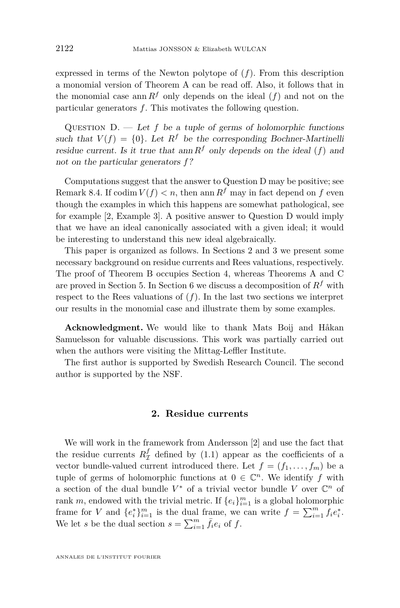<span id="page-4-0"></span>expressed in terms of the Newton polytope of (*f*). From this description a monomial version of Theorem A can be read off. Also, it follows that in the monomial case ann  $R<sup>f</sup>$  only depends on the ideal (*f*) and not on the particular generators *f*. This motivates the following question.

QUESTION  $D.$  — Let f be a tuple of germs of holomorphic functions such that  $V(f) = \{0\}$ . Let  $R^f$  be the corresponding Bochner-Martinelli residue current. Is it true that ann  $R^f$  only depends on the ideal (*f*) and not on the particular generators *f*?

Computations suggest that the answer to Question D may be positive; see Remark [8.4.](#page-22-0) If codim  $V(f) < n$ , then ann  $R^f$  may in fact depend on f even though the examples in which this happens are somewhat pathological, see for example [\[2,](#page-23-0) Example 3]. A positive answer to Question D would imply that we have an ideal canonically associated with a given ideal; it would be interesting to understand this new ideal algebraically.

This paper is organized as follows. In Sections 2 and [3](#page-7-0) we present some necessary background on residue currents and Rees valuations, respectively. The proof of Theorem B occupies Section [4,](#page-10-0) whereas Theorems A and C are proved in Section [5.](#page-13-0) In Section [6](#page-17-0) we discuss a decomposition of  $R<sup>f</sup>$  with respect to the Rees valuations of  $(f)$ . In the last two sections we interpret our results in the monomial case and illustrate them by some examples.

**Acknowledgment.** We would like to thank Mats Boij and Håkan Samuelsson for valuable discussions. This work was partially carried out when the authors were visiting the Mittag-Leffler Institute.

The first author is supported by Swedish Research Council. The second author is supported by the NSF.

#### **2. Residue currents**

We will work in the framework from Andersson [\[2\]](#page-23-0) and use the fact that the residue currents  $R^f_{\mathcal{I}}$  defined by [\(1.1\)](#page-1-0) appear as the coefficients of a vector bundle-valued current introduced there. Let  $f = (f_1, \ldots, f_m)$  be a tuple of germs of holomorphic functions at  $0 \in \mathbb{C}^n$ . We identify *f* with a section of the dual bundle  $V^*$  of a trivial vector bundle V over  $\mathbb{C}^n$  of rank *m*, endowed with the trivial metric. If  $\{e_i\}_{i=1}^m$  is a global holomorphic frame for *V* and  ${e_i^*}_{i=1}^m$  is the dual frame, we can write  $f = \sum_{i=1}^m f_i e_i^*$ . We let *s* be the dual section  $s = \sum_{i=1}^{m} \bar{f}_i e_i$  of *f*.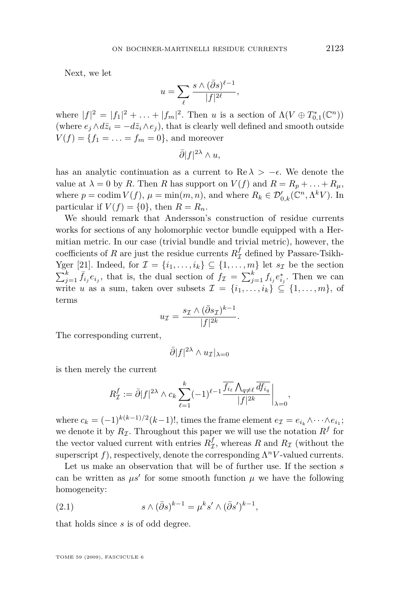<span id="page-5-0"></span>Next, we let

$$
u = \sum_{\ell} \frac{s \wedge (\bar{\partial}s)^{\ell-1}}{|f|^{2\ell}},
$$

where  $|f|^2 = |f_1|^2 + \ldots + |f_m|^2$ . Then *u* is a section of  $\Lambda(V \oplus T_{0,1}^*(\mathbb{C}^n))$ (where  $e_i \wedge d\bar{z}_i = -d\bar{z}_i \wedge e_i$ ), that is clearly well defined and smooth outside  $V(f) = \{f_1 = \ldots = f_m = 0\}$ , and moreover

$$
\bar{\partial}|f|^{2\lambda}\wedge u,
$$

has an analytic continuation as a current to Re  $\lambda > -\epsilon$ . We denote the value at  $\lambda = 0$  by *R*. Then *R* has support on  $V(f)$  and  $R = R_p + \ldots + R_\mu$ , where  $p = \text{codim } V(f)$ ,  $\mu = \min(m, n)$ , and where  $R_k \in \mathcal{D}'_{0,k}(\mathbb{C}^n, \Lambda^k V)$ . In particular if  $V(f) = \{0\}$ , then  $R = R_n$ .

We should remark that Andersson's construction of residue currents works for sections of any holomorphic vector bundle equipped with a Hermitian metric. In our case (trivial bundle and trivial metric), however, the coefficients of *R* are just the residue currents  $R^f_\mathcal{I}$  defined by Passare-Tsikh-Yger [\[21\]](#page-24-0). Indeed, for  $\mathcal{I} = \{i_1, \ldots, i_k\} \subseteq \{1, \ldots, m\}$  let  $s_{\mathcal{I}}$  be the section  $\sum_{j=1}^{k} \bar{f}_{i_j} e_{i_j}$ , that is, the dual section of  $f_{\mathcal{I}} = \sum_{j=1}^{k} f_{i_j} e_{i_j}^*$ . Then we can write *u* as a sum, taken over subsets  $\mathcal{I} = \{i_1, \ldots, i_k\} \subseteq \{1, \ldots, m\}$ , of terms

$$
u_{\mathcal{I}} = \frac{s_{\mathcal{I}} \wedge (\bar{\partial} s_{\mathcal{I}})^{k-1}}{|f|^{2k}}.
$$

The corresponding current,

$$
\bar{\partial}|f|^{2\lambda}\wedge u_{\mathcal{I}}|_{\lambda=0}
$$

is then merely the current

$$
R_{\mathcal{I}}^{f} := \bar{\partial} |f|^{2\lambda} \wedge c_{k} \sum_{\ell=1}^{k} (-1)^{\ell-1} \frac{\overline{f_{i_{\ell}}} \wedge_{q \neq \ell} \overline{df_{i_{q}}}}{|f|^{2k}} \bigg|_{\lambda=0},
$$

where  $c_k = (-1)^{k(k-1)/2} (k-1)!$ , times the frame element  $e_{\mathcal{I}} = e_{i_k} \wedge \cdots \wedge e_{i_1}$ ; we denote it by  $R_{\mathcal{I}}$ . Throughout this paper we will use the notation  $R^f$  for the vector valued current with entries  $R_{\mathcal{I}}^f$ , whereas  $R$  and  $R_{\mathcal{I}}$  (without the superscript  $f$ ), respectively, denote the corresponding  $\Lambda^n V$ -valued currents.

Let us make an observation that will be of further use. If the section *s* can be written as  $\mu s'$  for some smooth function  $\mu$  we have the following homogeneity:

(2.1) 
$$
s \wedge (\bar{\partial}s)^{k-1} = \mu^k s' \wedge (\bar{\partial}s')^{k-1},
$$

that holds since *s* is of odd degree.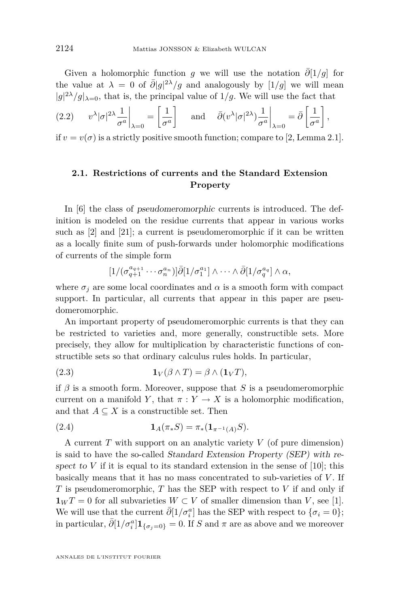<span id="page-6-0"></span>Given a holomorphic function *g* we will use the notation  $\overline{\partial}[1/g]$  for the value at  $\lambda = 0$  of  $\bar{\partial}|g|^{2\lambda}/g$  and analogously by  $[1/g]$  we will mean  $|g|^{2\lambda}/g|_{\lambda=0}$ , that is, the principal value of  $1/g$ . We will use the fact that

$$
(2.2) \t v^{\lambda} |\sigma|^{2\lambda} \frac{1}{\sigma^a} \bigg|_{\lambda=0} = \left[ \frac{1}{\sigma^a} \right] \quad \text{and} \quad \bar{\partial}(v^{\lambda} |\sigma|^{2\lambda}) \frac{1}{\sigma^a} \bigg|_{\lambda=0} = \bar{\partial} \left[ \frac{1}{\sigma^a} \right],
$$

if  $v = v(\sigma)$  is a strictly positive smooth function; compare to [\[2,](#page-23-0) Lemma 2.1].

#### **2.1. Restrictions of currents and the Standard Extension Property**

In [\[6\]](#page-23-0) the class of pseudomeromorphic currents is introduced. The definition is modeled on the residue currents that appear in various works such as [\[2\]](#page-23-0) and [\[21\]](#page-24-0); a current is pseudomeromorphic if it can be written as a locally finite sum of push-forwards under holomorphic modifications of currents of the simple form

$$
[1/(\sigma_{q+1}^{a_{q+1}} \cdots \sigma_n^{a_n})] \bar{\partial} [1/\sigma_1^{a_1}] \wedge \cdots \wedge \bar{\partial} [1/\sigma_q^{a_q}] \wedge \alpha,
$$

where  $\sigma_j$  are some local coordinates and  $\alpha$  is a smooth form with compact support. In particular, all currents that appear in this paper are pseudomeromorphic.

An important property of pseudomeromorphic currents is that they can be restricted to varieties and, more generally, constructible sets. More precisely, they allow for multiplication by characteristic functions of constructible sets so that ordinary calculus rules holds. In particular,

(2.3) 
$$
\mathbf{1}_V(\beta \wedge T) = \beta \wedge (\mathbf{1}_V T),
$$

if  $\beta$  is a smooth form. Moreover, suppose that *S* is a pseudomeromorphic current on a manifold *Y*, that  $\pi : Y \to X$  is a holomorphic modification, and that  $A \subseteq X$  is a constructible set. Then

(2.4) 
$$
\mathbf{1}_A(\pi_*S) = \pi_* (\mathbf{1}_{\pi^{-1}(A)}S).
$$

A current *T* with support on an analytic variety *V* (of pure dimension) is said to have the so-called Standard Extension Property (SEP) with respect to  $V$  if it is equal to its standard extension in the sense of  $[10]$ ; this basically means that it has no mass concentrated to sub-varieties of *V* . If *T* is pseudomeromorphic, *T* has the SEP with respect to *V* if and only if **1***W T* = 0 for all subvarieties *W* ⊂ *V* of smaller dimension than *V*, see [\[1\]](#page-23-0). We will use that the current  $\bar{\partial}[1/\sigma_i^a]$  has the SEP with respect to  $\{\sigma_i = 0\}$ ; in particular,  $\bar{\partial}$ [1/ $\sigma_i^a$ ] $\mathbf{1}_{\{\sigma_j=0\}}=0$ . If *S* and  $\pi$  are as above and we moreover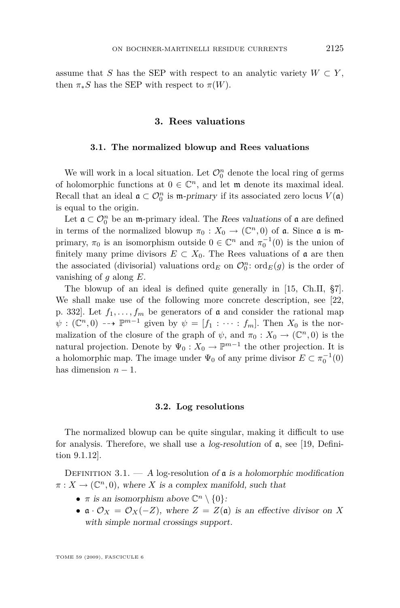<span id="page-7-0"></span>assume that *S* has the SEP with respect to an analytic variety  $W \subset Y$ , then  $\pi_* S$  has the SEP with respect to  $\pi(W)$ .

#### **3. Rees valuations**

#### **3.1. The normalized blowup and Rees valuations**

We will work in a local situation. Let  $\mathcal{O}_0^n$  denote the local ring of germs of holomorphic functions at  $0 \in \mathbb{C}^n$ , and let  $\mathfrak{m}$  denote its maximal ideal. Recall that an ideal  $\mathfrak{a} \subset \mathcal{O}_0^n$  is m-primary if its associated zero locus  $V(\mathfrak{a})$ is equal to the origin.

Let  $\mathfrak{a} \subset \mathcal{O}_0^n$  be an m-primary ideal. The Rees valuations of  $\mathfrak{a}$  are defined in terms of the normalized blowup  $\pi_0: X_0 \to (\mathbb{C}^n, 0)$  of  $\mathfrak{a}$ . Since  $\mathfrak{a}$  is mprimary,  $\pi_0$  is an isomorphism outside  $0 \in \mathbb{C}^n$  and  $\pi_0^{-1}(0)$  is the union of finitely many prime divisors  $E \subset X_0$ . The Rees valuations of  $\mathfrak a$  are then the associated (divisorial) valuations  $\mathrm{ord}_E$  on  $\mathcal{O}_0^n$ :  $\mathrm{ord}_E(g)$  is the order of vanishing of *g* along *E*.

The blowup of an ideal is defined quite generally in [\[15,](#page-23-0) Ch.II, §7]. We shall make use of the following more concrete description, see [\[22,](#page-24-0) p. 332]. Let  $f_1, \ldots, f_m$  be generators of **a** and consider the rational map  $\psi : (\mathbb{C}^n, 0) \dashrightarrow \mathbb{P}^{m-1}$  given by  $\psi = [f_1 : \cdots : f_m]$ . Then  $X_0$  is the normalization of the closure of the graph of  $\psi$ , and  $\pi_0: X_0 \to (\mathbb{C}^n, 0)$  is the natural projection. Denote by  $\Psi_0: X_0 \to \mathbb{P}^{m-1}$  the other projection. It is a holomorphic map. The image under  $\Psi_0$  of any prime divisor  $E \subset \pi_0^{-1}(0)$ has dimension  $n-1$ .

#### **3.2. Log resolutions**

The normalized blowup can be quite singular, making it difficult to use for analysis. Therefore, we shall use a *log-resolution* of  $\alpha$ , see [\[19,](#page-23-0) Definition 9.1.12].

DEFINITION 3.1.  $- A$  log-resolution of  $\mathfrak a$  is a holomorphic modification  $\pi: X \to (\mathbb{C}^n, 0)$ , where *X* is a complex manifold, such that

- *π* is an isomorphism above  $\mathbb{C}^n \setminus \{0\}$ :
- **•**  $\mathfrak{a} \cdot \mathcal{O}_X = \mathcal{O}_X(-Z)$ , where  $Z = Z(\mathfrak{a})$  is an effective divisor on *X* with simple normal crossings support.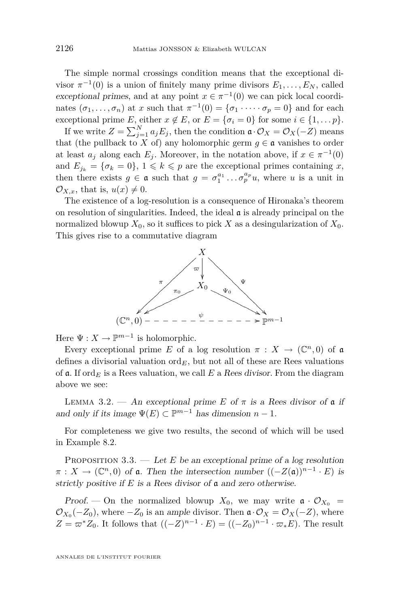<span id="page-8-0"></span>The simple normal crossings condition means that the exceptional divisor  $\pi^{-1}(0)$  is a union of finitely many prime divisors  $E_1, \ldots, E_N$ , called exceptional primes, and at any point  $x \in \pi^{-1}(0)$  we can pick local coordinates  $(\sigma_1, \ldots, \sigma_n)$  at *x* such that  $\pi^{-1}(0) = {\sigma_1 \cdot \cdots \cdot \sigma_p = 0}$  and for each exceptional prime *E*, either  $x \notin E$ , or  $E = \{\sigma_i = 0\}$  for some  $i \in \{1, \ldots p\}$ .

If we write  $Z = \sum_{j=1}^{N} a_j E_j$ , then the condition  $\mathfrak{a} \cdot \mathcal{O}_X = \mathcal{O}_X(-Z)$  means that (the pullback to *X* of) any holomorphic germ  $g \in \mathfrak{a}$  vanishes to order at least  $a_j$  along each  $E_j$ . Moreover, in the notation above, if  $x \in \pi^{-1}(0)$ and  $E_{j_k} = {\sigma_k = 0}$ ,  $1 \leq k \leq p$  are the exceptional primes containing *x*, then there exists  $g \in \mathfrak{a}$  such that  $g = \sigma_1^{a_1} \dots \sigma_p^{a_p} u$ , where *u* is a unit in  $\mathcal{O}_{X,x}$ , that is,  $u(x) \neq 0$ .

The existence of a log-resolution is a consequence of Hironaka's theorem on resolution of singularities. Indeed, the ideal  $\alpha$  is already principal on the normalized blowup  $X_0$ , so it suffices to pick X as a desingularization of  $X_0$ . This gives rise to a commutative diagram



Here  $\Psi: X \to \mathbb{P}^{m-1}$  is holomorphic.

Every exceptional prime *E* of a log resolution  $\pi$  :  $X \to (\mathbb{C}^n, 0)$  of a defines a divisorial valuation  $\mathrm{ord}_E$ , but not all of these are Rees valuations of  $\mathfrak{a}$ . If ord<sub>*E*</sub> is a Rees valuation, we call *E* a Rees divisor. From the diagram above we see:

LEMMA 3.2. — An exceptional prime *E* of  $\pi$  is a Rees divisor of  $\mathfrak{a}$  if and only if its image  $\Psi(E) \subset \mathbb{P}^{m-1}$  has dimension  $n-1$ .

For completeness we give two results, the second of which will be used in Example [8.2.](#page-20-0)

PROPOSITION  $3.3.$  — Let *E* be an exceptional prime of a log resolution  $\pi$  :  $X \to (\mathbb{C}^n, 0)$  of **a**. Then the intersection number  $((-Z(\mathfrak{a}))^{n-1} \cdot E)$  is strictly positive if *E* is a Rees divisor of a and zero otherwise.

Proof. — On the normalized blowup  $X_0$ , we may write  $\mathfrak{a} \cdot \mathcal{O}_{X_0}$  =  $\mathcal{O}_{X_0}(-Z_0)$ , where  $-Z_0$  is an ample divisor. Then  $\mathfrak{a} \cdot \mathcal{O}_X = \mathcal{O}_X(-Z)$ , where *Z* =  $\varpi$ <sup>*\**</sup>*Z*<sub>0</sub>. It follows that  $((-Z)^{n-1} \cdot E) = ((-Z_0)^{n-1} \cdot \varpi_* E)$ . The result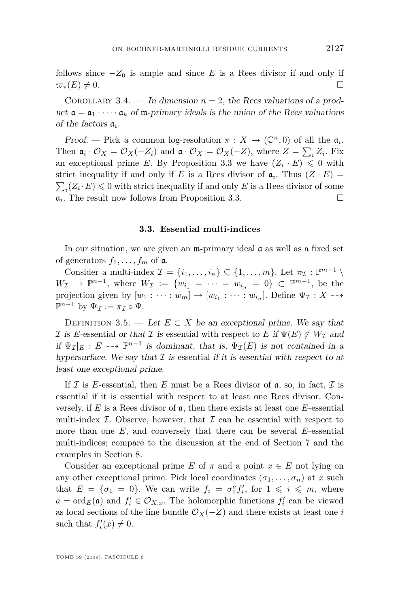<span id="page-9-0"></span>follows since  $-Z_0$  is ample and since *E* is a Rees divisor if and only if  $\varpi_*(E) \neq 0.$ 

COROLLARY 3.4. — In dimension  $n = 2$ , the Rees valuations of a product  $\mathfrak{a} = \mathfrak{a}_1 \cdot \cdots \cdot \mathfrak{a}_k$  of  $\mathfrak{m}$ -primary ideals is the union of the Rees valuations of the factors a*<sup>i</sup>* .

Proof. — Pick a common log-resolution  $\pi : X \to (\mathbb{C}^n, 0)$  of all the  $\mathfrak{a}_i$ . Then  $\mathfrak{a}_i \cdot \mathcal{O}_X = \mathcal{O}_X(-Z_i)$  and  $\mathfrak{a} \cdot \mathcal{O}_X = \mathcal{O}_X(-Z)$ , where  $Z = \sum_i Z_i$ . Fix an exceptional prime *E*. By Proposition [3.3](#page-8-0) we have  $(Z_i \cdot E) \leq 0$  with strict inequality if and only if *E* is a Rees divisor of  $a_i$ . Thus  $(Z \cdot E)$  =  $\sum_i (Z_i \cdot E) \leq 0$  with strict inequality if and only *E* is a Rees divisor of some  $\mathfrak{a}_i$ . The result now follows from Proposition [3.3.](#page-8-0)

#### **3.3. Essential multi-indices**

In our situation, we are given an m-primary ideal a as well as a fixed set of generators  $f_1, \ldots, f_m$  of  $\mathfrak{a}$ .

Consider a multi-index  $\mathcal{I} = \{i_1, \ldots, i_n\} \subseteq \{1, \ldots, m\}$ . Let  $\pi_{\mathcal{I}} : \mathbb{P}^{m-1} \setminus \mathcal{I}$  $W_I \to \mathbb{P}^{n-1}$ , where  $W_I := \{w_{i_1} = \cdots = w_{i_n} = 0\} \subset \mathbb{P}^{m-1}$ , be the projection given by  $[w_1 : \cdots : w_m] \to [w_{i_1} : \cdots : w_{i_n}]$ . Define  $\Psi_{\mathcal{I}} : X \dashrightarrow$  $\mathbb{P}^{n-1}$  by  $\Psi_{\mathcal{I}} := \pi_{\mathcal{I}} \circ \Psi.$ 

DEFINITION 3.5. — Let  $E \subset X$  be an exceptional prime. We say that *I* is *E*-essential or that *I* is essential with respect to *E* if  $\Psi(E) \not\subset W_{\mathcal{I}}$  and if  $\Psi_{\mathcal{I}}|_E : E \dashrightarrow \mathbb{P}^{n-1}$  is dominant, that is,  $\Psi_{\mathcal{I}}(E)$  is not contained in a hypersurface. We say that  $I$  is essential if it is essential with respect to at least one exceptional prime.

If  $\mathcal I$  is *E*-essential, then *E* must be a Rees divisor of  $\mathfrak a$ , so, in fact,  $\mathcal I$  is essential if it is essential with respect to at least one Rees divisor. Conversely, if  $E$  is a Rees divisor of  $\mathfrak a$ , then there exists at least one  $E$ -essential multi-index  $I$ . Observe, however, that  $I$  can be essential with respect to more than one *E*, and conversely that there can be several *E*-essential multi-indices; compare to the discussion at the end of Section [7](#page-19-0) and the examples in Section [8.](#page-20-0)

Consider an exceptional prime *E* of  $\pi$  and a point  $x \in E$  not lying on any other exceptional prime. Pick local coordinates  $(\sigma_1, \ldots, \sigma_n)$  at *x* such that  $E = {\sigma_1 = 0}$ . We can write  $f_i = \sigma_1^a f'_i$ , for  $1 \leq i \leq m$ , where  $a = \text{ord}_E(\mathfrak{a})$  and  $f'_i \in \mathcal{O}_{X,x}$ . The holomorphic functions  $f'_i$  can be viewed as local sections of the line bundle  $\mathcal{O}_X(-Z)$  and there exists at least one *i* such that  $f_i'(x) \neq 0$ .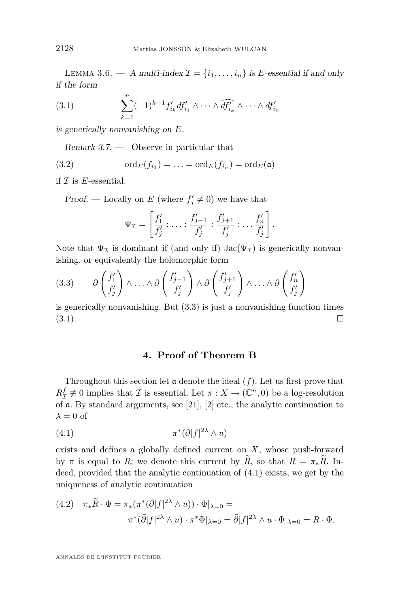<span id="page-10-0"></span>LEMMA 3.6. — A multi-index  $\mathcal{I} = \{i_1, \ldots, i_n\}$  is *E*-essential if and only if the form

(3.1) 
$$
\sum_{k=1}^{n} (-1)^{k-1} f'_{i_k} df'_{i_1} \wedge \cdots \wedge \widehat{df'_{i_k}} \wedge \cdots \wedge df'_{i_n}
$$

is generically nonvanishing on *E*.

Remark 3.7. — Observe in particular that

(3.2) 
$$
\operatorname{ord}_E(f_{i_1})=\ldots=\operatorname{ord}_E(f_{i_n})=\operatorname{ord}_E(\mathfrak{a})
$$

if *I* is *E*-essential.

Proof. — Locally on *E* (where  $f'_{j} \neq 0$ ) we have that

$$
\Psi_{\mathcal{I}} = \left[ \frac{f'_1}{f'_j} : \ldots : \frac{f'_{j-1}}{f'_j} : \frac{f'_{j+1}}{f'_j} : \ldots \frac{f'_n}{f'_j} \right].
$$

Note that  $\Psi_{\mathcal{I}}$  is dominant if (and only if) Jac( $\Psi_{\mathcal{I}}$ ) is generically nonvanishing, or equivalently the holomorphic form

$$
(3.3) \qquad \partial \left( \frac{f_1'}{f_1'} \right) \wedge \ldots \wedge \partial \left( \frac{f_{j-1}'}{f_j'} \right) \wedge \partial \left( \frac{f_{j+1}'}{f_j'} \right) \wedge \ldots \wedge \partial \left( \frac{f_n'}{f_j'} \right)
$$

is generically nonvanishing. But (3.3) is just a nonvanishing function times  $(3.1).$ 

#### **4. Proof of Theorem B**

Throughout this section let  $\alpha$  denote the ideal  $(f)$ . Let us first prove that  $R^f_{\mathcal{I}} \not\equiv 0$  implies that *I* is essential. Let  $\pi : X \to (\mathbb{C}^n, 0)$  be a log-resolution of a. By standard arguments, see [\[21\]](#page-24-0), [\[2\]](#page-23-0) etc., the analytic continuation to  $\lambda = 0$  of

$$
(4.1)\qquad \qquad \pi^*(\bar{\partial}|f|^{2\lambda}\wedge u)
$$

exists and defines a globally defined current on *X*, whose push-forward by  $\pi$  is equal to *R*; we denote this current by  $\widetilde{R}$ , so that  $R = \pi_* \widetilde{R}$ . Indeed, provided that the analytic continuation of (4.1) exists, we get by the uniqueness of analytic continuation

(4.2) 
$$
\pi_* \widetilde{R} \cdot \Phi = \pi_* (\pi^* (\overline{\partial} |f|^{2\lambda} \wedge u)) \cdot \Phi|_{\lambda=0} =
$$

$$
\pi^* (\overline{\partial} |f|^{2\lambda} \wedge u) \cdot \pi^* \Phi|_{\lambda=0} = \overline{\partial} |f|^{2\lambda} \wedge u \cdot \Phi|_{\lambda=0} = R \cdot \Phi.
$$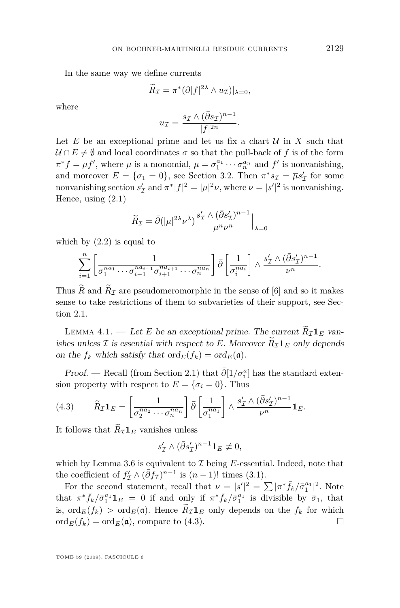<span id="page-11-0"></span>In the same way we define currents

$$
\widetilde{R}_{\mathcal{I}} = \pi^*(\bar{\partial}|f|^{2\lambda} \wedge u_{\mathcal{I}})|_{\lambda=0},
$$

where

$$
u_{\mathcal{I}} = \frac{s_{\mathcal{I}} \wedge (\bar{\partial} s_{\mathcal{I}})^{n-1}}{|f|^{2n}}
$$

*.*

Let  $E$  be an exceptional prime and let us fix a chart  $U$  in  $X$  such that  $U \cap E \neq \emptyset$  and local coordinates  $\sigma$  so that the pull-back of f is of the form  $\pi^* f = \mu f'$ , where  $\mu$  is a monomial,  $\mu = \sigma_1^{a_1} \cdots \sigma_n^{a_n}$  and  $f'$  is nonvanishing, and moreover  $E = {\sigma_1 = 0}$ , see Section [3.2.](#page-7-0) Then  $\pi^* s_{\mathcal{I}} = \overline{\mu} s'_{\mathcal{I}}$  for some nonvanishing section  $s'_{\mathcal{I}}$  and  $\pi^* |f|^2 = |\mu|^2 \nu$ , where  $\nu = |s'|^2$  is nonvanishing. Hence, using [\(2.1\)](#page-5-0)

$$
\widetilde{R}_{\mathcal{I}} = \bar{\partial}(|\mu|^{2\lambda} \nu^{\lambda}) \frac{s_{\mathcal{I}}' \wedge (\bar{\partial} s_{\mathcal{I}}')^{n-1}}{\mu^n \nu^n} \Big|_{\lambda=0}
$$

which by  $(2.2)$  is equal to

$$
\sum_{i=1}^n \left[ \frac{1}{\sigma_1^{na_1} \cdots \sigma_{i-1}^{na_{i-1}} \sigma_{i+1}^{na_{i+1}} \cdots \sigma_n^{na_n}} \right] \bar{\partial} \left[ \frac{1}{\sigma_i^{na_i}} \right] \wedge \frac{s_{\mathcal{I}}' \wedge (\bar{\partial} s_{\mathcal{I}}')^{n-1}}{\nu^n}.
$$

Thus  $\widetilde{R}$  and  $\widetilde{R}_{\mathcal{I}}$  are pseudomeromorphic in the sense of [\[6\]](#page-23-0) and so it makes sense to take restrictions of them to subvarieties of their support, see Section [2.1.](#page-6-0)

LEMMA 4.1. — Let *E* be an exceptional prime. The current  $\widetilde{R}_I \mathbf{1}_E$  vanishes unless *I* is essential with respect to *E*. Moreover  $\widetilde{R}_{\mathcal{I}}\mathbf{1}_E$  only depends on the  $f_k$  which satisfy that  $\text{ord}_E(f_k) = \text{ord}_E(\mathfrak{a})$ .

Proof. — Recall (from Section [2.1\)](#page-6-0) that  $\bar{\partial} [1/\sigma_i^a]$  has the standard extension property with respect to  $E = \{\sigma_i = 0\}$ . Thus

(4.3) 
$$
\widetilde{R}_{\mathcal{I}} \mathbf{1}_{E} = \left[ \frac{1}{\sigma_2^{na_2} \cdots \sigma_n^{na_n}} \right] \bar{\partial} \left[ \frac{1}{\sigma_1^{na_1}} \right] \wedge \frac{s_{\mathcal{I}}' \wedge (\bar{\partial} s_{\mathcal{I}}')^{n-1}}{\nu^n} \mathbf{1}_{E}.
$$

It follows that  $\widetilde{R}_{\mathcal{I}}\mathbf{1}_E$  vanishes unless

$$
s'_{\mathcal{I}} \wedge (\bar{\partial} s'_{\mathcal{I}})^{n-1} \mathbf{1}_{E} \not\equiv 0,
$$

which by Lemma [3.6](#page-9-0) is equivalent to *I* being *E*-essential. Indeed, note that the coefficient of  $f'_{\mathcal{I}} \wedge (\bar{\partial} f_{\mathcal{I}})^{n-1}$  is  $(n-1)!$  times [\(3.1\)](#page-10-0).

For the second statement, recall that  $\nu = |s'|^2 = \sum |\pi^* \bar{f}_k / \bar{\sigma}_1^{a_1}|^2$ . Note that  $\pi^* \bar{f}_k / \bar{\sigma}_1^{a_1} \mathbf{1}_E = 0$  if and only if  $\pi^* \bar{f}_k / \bar{\sigma}_1^{a_1}$  is divisible by  $\bar{\sigma}_1$ , that is,  $\text{ord}_E(f_k) > \text{ord}_E(\mathfrak{a})$ . Hence  $R_{\mathcal{I}} \mathbf{1}_E$  only depends on the  $f_k$  for which  $\text{ord}_E(f_k) = \text{ord}_E(\mathfrak{a})$ , compare to (4.3)  $\mathrm{ord}_E(f_k) = \mathrm{ord}_E(\mathfrak{a}),$  compare to (4.3).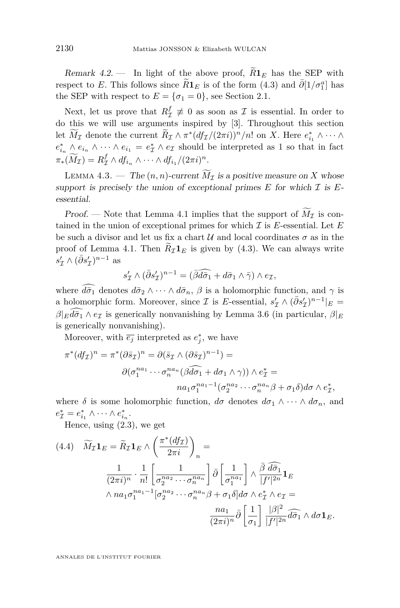<span id="page-12-0"></span>Remark 4.2. — In light of the above proof,  $\widetilde{R}1_E$  has the SEP with respect to *E*. This follows since  $\widetilde{R}1_E$  is of the form [\(4.3\)](#page-11-0) and  $\overline{\partial}[1/\sigma_1^a]$  has the SEP with respect to  $E = {\sigma_1 = 0}$ , see Section [2.1.](#page-6-0)

Next, let us prove that  $R^f_{\mathcal{I}} \neq 0$  as soon as  $\mathcal{I}$  is essential. In order to do this we will use arguments inspired by [\[3\]](#page-23-0). Throughout this section let  $M_{\mathcal{I}}$  denote the current  $R_{\mathcal{I}} \wedge \pi^*(df_{\mathcal{I}}/(2\pi i))^n/n!$  on *X*. Here  $e_{i_1}^* \wedge \cdots \wedge$  $e_{i_n}^* \wedge e_{i_n} \wedge \cdots \wedge e_{i_1} = e_{\mathcal{I}}^* \wedge e_{\mathcal{I}}$  should be interpreted as 1 so that in fact  $\pi_*(\widetilde{M}_{\mathcal{I}}) = R^f_{\mathcal{I}} \wedge df_{i_n} \wedge \cdots \wedge df_{i_1}/(2\pi i)^n.$ 

LEMMA 4.3. — The  $(n, n)$ -current  $\widetilde{M}_{\mathcal{I}}$  is a positive measure on X whose support is precisely the union of exceptional primes  $E$  for which  $\mathcal I$  is  $E$ essential.

Proof. — Note that Lemma [4.1](#page-11-0) implies that the support of  $\widetilde{M}_{\mathcal{I}}$  is contained in the union of exceptional primes for which *I* is *E*-essential. Let *E* be such a divisor and let us fix a chart  $\mathcal U$  and local coordinates  $\sigma$  as in the proof of Lemma [4.1.](#page-11-0) Then  $R_{\mathcal{I}}\mathbf{1}_E$  is given by [\(4.3\)](#page-11-0). We can always write  $s'_{\mathcal{I}} \wedge (\bar{\partial} s'_{\mathcal{I}})^{n-1}$  as

$$
s'_{\mathcal{I}} \wedge (\bar{\partial} s'_{\mathcal{I}})^{n-1} = (\bar{\beta} \widehat{d\sigma_1} + d\bar{\sigma}_1 \wedge \bar{\gamma}) \wedge e_{\mathcal{I}},
$$

where  $\widehat{d\sigma_1}$  denotes  $d\sigma_2 \wedge \cdots \wedge d\sigma_n$ ,  $\beta$  is a holomorphic function, and  $\gamma$  is a holomorphic form. Moreover, since *I* is *E*-essential,  $s'_{\mathcal{I}} \wedge (\bar{\partial} s'_{\mathcal{I}})^{n-1}|_{E} =$  $\beta$ <sub>*E*</sub> $d\overline{\sigma_1} \wedge e_{\mathcal{I}}$  is generically nonvanishing by Lemma [3.6](#page-9-0) (in particular,  $\beta$ <sub>*E*</sub> is generically nonvanishing).

Moreover, with  $\overline{e_j}$  interpreted as  $e_j^*$ , we have

$$
\pi^*(df_{\mathcal{I}})^n = \pi^*(\partial \bar{s}_{\mathcal{I}})^n = \partial (\bar{s}_{\mathcal{I}} \wedge (\partial \bar{s}_{\mathcal{I}})^{n-1}) =
$$
  

$$
\partial (\sigma_1^{na_1} \cdots \sigma_n^{na_n} (\partial \bar{d}\sigma_1 + d\sigma_1 \wedge \gamma)) \wedge e_{\mathcal{I}}^* =
$$
  

$$
na_1 \sigma_1^{na_1-1} (\sigma_2^{na_2} \cdots \sigma_n^{na_n} \beta + \sigma_1 \delta) d\sigma \wedge e_{\mathcal{I}}^*,
$$

where  $\delta$  is some holomorphic function,  $d\sigma$  denotes  $d\sigma_1 \wedge \cdots \wedge d\sigma_n$ , and  $e^*_{\mathcal{I}} = e^*_{i_1} \wedge \cdots \wedge e^*_{i_n}.$ 

Hence, using [\(2.3\)](#page-6-0), we get

$$
(4.4) \quad \widetilde{M}_{\mathcal{I}} \mathbf{1}_{E} = \widetilde{R}_{\mathcal{I}} \mathbf{1}_{E} \wedge \left(\frac{\pi^{*}(df_{\mathcal{I}})}{2\pi i}\right)_{n} =
$$
\n
$$
\frac{1}{(2\pi i)^{n}} \cdot \frac{1}{n!} \left[\frac{1}{\sigma_{2}^{na_{2}} \cdots \sigma_{n}^{na_{n}}}\right] \bar{\partial} \left[\frac{1}{\sigma_{1}^{na_{1}}}\right] \wedge \frac{\bar{\beta} \; d\bar{\sigma}_{1}}{|f'|^{2n}} \mathbf{1}_{E}
$$
\n
$$
\wedge na_{1} \sigma_{1}^{na_{1}-1} [\sigma_{2}^{na_{2}} \cdots \sigma_{n}^{na_{n}} \beta + \sigma_{1} \delta] d\sigma \wedge e_{\mathcal{I}}^{*} \wedge e_{\mathcal{I}} =
$$
\n
$$
\frac{na_{1}}{(2\pi i)^{n}} \bar{\partial} \left[\frac{1}{\sigma_{1}}\right] \frac{|\beta|^{2}}{|f'|^{2n}} d\bar{\sigma}_{1} \wedge d\sigma \mathbf{1}_{E}.
$$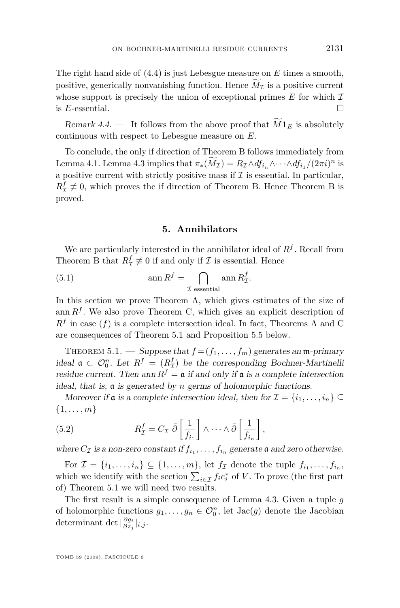<span id="page-13-0"></span>The right hand side of [\(4.4\)](#page-12-0) is just Lebesgue measure on *E* times a smooth, positive, generically nonvanishing function. Hence  $M<sub>I</sub>$  is a positive current whose support is precisely the union of exceptional primes  $E$  for which  $\mathcal I$ is *E*-essential.

Remark 4.4. — It follows from the above proof that  $\tilde{M}$ **1** $_E$  is absolutely continuous with respect to Lebesgue measure on *E*.

To conclude, the only if direction of Theorem B follows immediately from Lemma [4.1.](#page-11-0) Lemma [4.3](#page-12-0) implies that  $\pi_*(\overline{M}_\mathcal{I}) = R_\mathcal{I} \wedge df_{i_n} \wedge \cdots \wedge df_{i_1} / (2\pi i)^n$  is a positive current with strictly positive mass if  $\mathcal I$  is essential. In particular,  $R^f_{\mathcal{I}} \neq 0$ , which proves the if direction of Theorem B. Hence Theorem B is proved.

#### **5. Annihilators**

We are particularly interested in the annihilator ideal of *R<sup>f</sup>* . Recall from Theorem B that  $R^f_{\mathcal{I}} \not\equiv 0$  if and only if  $\mathcal{I}$  is essential. Hence

(5.1) 
$$
\operatorname{ann} R^f = \bigcap_{\mathcal{I} \text{ essential}} \operatorname{ann} R^f_{\mathcal{I}}.
$$

In this section we prove Theorem A, which gives estimates of the size of ann  $R^f$ . We also prove Theorem C, which gives an explicit description of  $R<sup>f</sup>$  in case  $(f)$  is a complete intersection ideal. In fact, Theorems A and C are consequences of Theorem 5.1 and Proposition [5.5](#page-16-0) below.

THEOREM 5.1. — Suppose that  $f = (f_1, \ldots, f_m)$  generates an m-primary ideal  $\mathfrak{a} \subset \mathcal{O}_0^n$ . Let  $R^f = (R^f_\mathcal{I})$  be the corresponding Bochner-Martinelli residue current. Then ann  $R^f = \mathfrak{a}$  if and only if  $\mathfrak{a}$  is a complete intersection ideal, that is, a is generated by *n* germs of holomorphic functions.

Moreover if **a** is a complete intersection ideal, then for  $\mathcal{I} = \{i_1, \ldots, i_n\} \subseteq$ *{*1*, . . . , m}*

(5.2) 
$$
R_{\mathcal{I}}^{f} = C_{\mathcal{I}} \bar{\partial} \left[ \frac{1}{f_{i_1}} \right] \wedge \cdots \wedge \bar{\partial} \left[ \frac{1}{f_{i_n}} \right],
$$

where  $C_{\mathcal{I}}$  is a non-zero constant if  $f_{i_1}, \ldots, f_{i_n}$  generate  $\mathfrak{a}$  and zero otherwise.

For  $\mathcal{I} = \{i_1, \ldots, i_n\} \subseteq \{1, \ldots, m\}$ , let  $f_{\mathcal{I}}$  denote the tuple  $f_{i_1}, \ldots, f_{i_n}$ , which we identify with the section  $\sum_{i \in \mathcal{I}} f_i e_i^*$  of *V*. To prove (the first part of) Theorem 5.1 we will need two results.

The first result is a simple consequence of Lemma [4.3.](#page-12-0) Given a tuple *g* of holomorphic functions  $g_1, \ldots, g_n \in \mathcal{O}_0^n$ , let  $Jac(g)$  denote the Jacobian determinant det  $|\frac{\partial g_i}{\partial z_j}|_{i,j}$ .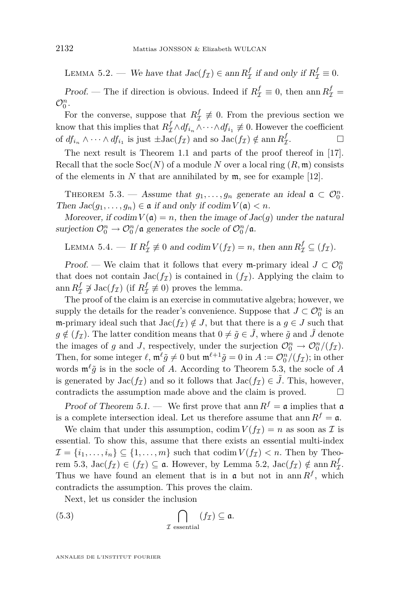<span id="page-14-0"></span>LEMMA 5.2. — We have that  $Jac(f_{\mathcal{I}}) \in \text{ann } R_{\mathcal{I}}^f$  if and only if  $R_{\mathcal{I}}^f \equiv 0$ .

*Proof.* — The if direction is obvious. Indeed if  $R^f_{\mathcal{I}} \equiv 0$ , then ann  $R^f_{\mathcal{I}} =$  $\mathcal{O}_0^n$ .

For the converse, suppose that  $R^f_{\mathcal{I}} \neq 0$ . From the previous section we know that this implies that  $R_{\mathcal{I}}^f \wedge df_{i_n} \wedge \cdots \wedge df_{i_1} \neq 0$ . However the coefficient of  $df_{i_n} \wedge \cdots \wedge df_{i_1}$  is just  $\pm \text{Jac}(f_{\mathcal{I}})$  and so  $\text{Jac}(f_{\mathcal{I}}) \notin \text{ann } R^f_{\mathcal{I}}$ . — П

The next result is Theorem 1.1 and parts of the proof thereof in [\[17\]](#page-23-0). Recall that the socle  $Soc(N)$  of a module N over a local ring  $(R, \mathfrak{m})$  consists of the elements in  $N$  that are annihilated by  $\mathfrak{m}$ , see for example [\[12\]](#page-23-0).

THEOREM 5.3. — Assume that  $g_1, \ldots, g_n$  generate an ideal  $\mathfrak{a} \subset \mathcal{O}_0^n$ . Then  $Jac(g_1, \ldots, g_n) \in \mathfrak{a}$  if and only if  $codim V(\mathfrak{a}) < n$ .

Moreover, if  $\text{codim } V(\mathfrak{a}) = n$ , then the image of  $\text{Jac}(g)$  under the natural surjection  $\mathcal{O}_0^n \to \mathcal{O}_0^n/\mathfrak{a}$  generates the socle of  $\mathcal{O}_0^n/\mathfrak{a}$ .

LEMMA 5.4. — If  $R^f_{\mathcal{I}} \not\equiv 0$  and  $\operatorname{codim} V(f_{\mathcal{I}}) = n$ , then  $\operatorname{ann} R^f_{\mathcal{I}} \subseteq (f_{\mathcal{I}})$ .

Proof. — We claim that it follows that every m-primary ideal  $J \subset \mathcal{O}_0^n$ that does not contain  $Jac(f_{\mathcal{I}})$  is contained in  $(f_{\mathcal{I}})$ . Applying the claim to ann  $R^f_\mathcal{I} \not\supseteq \text{Jac}(f_\mathcal{I})$  (if  $R^f_\mathcal{I} \not\equiv 0$ ) proves the lemma.

The proof of the claim is an exercise in commutative algebra; however, we supply the details for the reader's convenience. Suppose that  $J \subset \mathcal{O}_0^n$  is an m-primary ideal such that  $Jac(f_{\mathcal{I}}) \notin J$ , but that there is a  $g \in J$  such that  $g \notin (f_{\mathcal{I}})$ . The latter condition means that  $0 \neq \tilde{g} \in J$ , where  $\tilde{g}$  and *J* denote the images of *g* and *J*, respectively, under the surjection  $\mathcal{O}_0^n \to \mathcal{O}_0^n/(f_{\mathcal{I}})$ . Then, for some integer  $\ell$ ,  $\mathfrak{m}^{\ell} \tilde{g} \neq 0$  but  $\mathfrak{m}^{\ell+1} \tilde{g} = 0$  in  $A := \mathcal{O}_0^n / (f_{\mathcal{I}})$ ; in other words  $\mathfrak{m}^{\ell}\tilde{g}$  is in the socle of *A*. According to Theorem 5.3, the socle of *A* is generated by  $Jac(f_{\mathcal{I}})$  and so it follows that  $Jac(f_{\mathcal{I}}) \in J$ . This, however, contradicts the assumption made above and the claim is proved.

Proof of Theorem [5.1.](#page-13-0) — We first prove that ann  $R^f = \mathfrak{a}$  implies that  $\mathfrak{a}$ is a complete intersection ideal. Let us therefore assume that ann  $R^f = \mathfrak{a}$ .

We claim that under this assumption, codim  $V(f_{\mathcal{I}}) = n$  as soon as  $\mathcal{I}$  is essential. To show this, assume that there exists an essential multi-index  $\mathcal{I} = \{i_1, \ldots, i_n\} \subseteq \{1, \ldots, m\}$  such that codim  $V(f_{\mathcal{I}}) < n$ . Then by Theorem 5.3,  $\text{Jac}(f_{\mathcal{I}}) \in (f_{\mathcal{I}}) \subseteq \mathfrak{a}$ . However, by Lemma [5.2,](#page-13-0)  $\text{Jac}(f_{\mathcal{I}}) \notin \text{ann } R_{\mathcal{I}}^f$ . Thus we have found an element that is in  $\mathfrak{a}$  but not in ann  $R^f$ , which contradicts the assumption. This proves the claim.

Next, let us consider the inclusion

(5.3) 
$$
\bigcap_{\mathcal{I} \text{ essential}} (f_{\mathcal{I}}) \subseteq \mathfrak{a}.
$$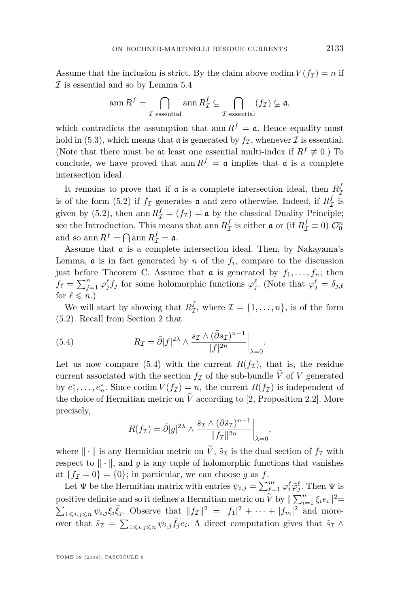Assume that the inclusion is strict. By the claim above codim  $V(f_{\mathcal{I}}) = n$  if *I* is essential and so by Lemma [5.4](#page-14-0)

$$
\operatorname{ann} R^f = \bigcap_{\mathcal{I} \text{ essential}} \operatorname{ann} R^f_{\mathcal{I}} \subseteq \bigcap_{\mathcal{I} \text{ essential}} (f_{\mathcal{I}}) \varsubsetneq \mathfrak{a},
$$

which contradicts the assumption that ann  $R^f = \mathfrak{a}$ . Hence equality must hold in [\(5.3\)](#page-14-0), which means that  $\mathfrak{a}$  is generated by  $f_{\mathcal{I}}$ , whenever  $\mathcal I$  is essential. (Note that there must be at least one essential multi-index if  $R^f \neq 0$ .) To conclude, we have proved that ann  $R^f = \mathfrak{a}$  implies that  $\mathfrak{a}$  is a complete intersection ideal.

It remains to prove that if  $\mathfrak{a}$  is a complete intersection ideal, then  $R^f_{\mathcal{I}}$ is of the form [\(5.2\)](#page-13-0) if  $f_{\mathcal{I}}$  generates  $\mathfrak{a}$  and zero otherwise. Indeed, if  $R_{\mathcal{I}}^{f}$  is given by [\(5.2\)](#page-13-0), then ann  $R^f_{\mathcal{I}} = (f_{\mathcal{I}}) = \mathfrak{a}$  by the classical Duality Principle; see the Introduction. This means that ann  $R^f_\mathcal{I}$  is either  $\mathfrak{a}$  or (if  $R^f_\mathcal{I} \equiv 0$ )  $\mathcal{O}_0^n$ and so  $\text{ann } R^f = \bigcap \text{ann } R^f_{\mathcal{I}} = \mathfrak{a}.$ 

Assume that a is a complete intersection ideal. Then, by Nakayama's Lemma,  $\boldsymbol{\mathfrak{a}}$  is in fact generated by *n* of the  $f_i$ , compare to the discussion just before Theorem C. Assume that  $\alpha$  is generated by  $f_1, \ldots, f_n$ ; then  $f_{\ell} = \sum_{j=1}^{n} \varphi_j^{\ell} f_j$  for some holomorphic functions  $\varphi_j^{\ell}$ . (Note that  $\varphi_j^{\ell} = \delta_{j,\ell}$ for  $\ell \leq n$ .)

We will start by showing that  $R_{\mathcal{I}}^f$ , where  $\mathcal{I} = \{1, \ldots, n\}$ , is of the form [\(5.2\)](#page-13-0). Recall from Section [2](#page-4-0) that

(5.4) 
$$
R_{\mathcal{I}} = \bar{\partial}|f|^{2\lambda} \wedge \frac{s_{\mathcal{I}} \wedge (\bar{\partial}s_{\mathcal{I}})^{n-1}}{|f|^{2n}}\bigg|_{\lambda=0}.
$$

Let us now compare (5.4) with the current  $R(f_{\mathcal{I}})$ , that is, the residue current associated with the section  $f_{\mathcal{I}}$  of the sub-bundle  $\widetilde{V}$  of *V* generated by  $e_1^*, \ldots, e_n^*$ . Since codim  $V(f_{\mathcal{I}}) = n$ , the current  $R(f_{\mathcal{I}})$  is independent of the choice of Hermitian metric on  $\widetilde{V}$  according to [\[2,](#page-23-0) Proposition 2.2]. More precisely,

$$
R(f_{\mathcal{I}}) = \bar{\partial}|g|^{2\lambda} \wedge \frac{\tilde{s}_{\mathcal{I}} \wedge (\bar{\partial}\tilde{s}_{\mathcal{I}})^{n-1}}{\|f_{\mathcal{I}}\|^{2n}}\bigg|_{\lambda=0},
$$

where  $\|\cdot\|$  is any Hermitian metric on  $\tilde{V}$ ,  $\tilde{s}_{\mathcal{I}}$  is the dual section of  $f_{\mathcal{I}}$  with respect to  $\|\cdot\|$ , and g is any tuple of holomorphic functions that vanishes at  ${f_{I\mathcal{I}} = 0} = {0}$ ; in particular, we can choose *g* as *f*.

Let  $\Psi$  be the Hermitian matrix with entries  $\psi_{i,j} = \sum_{\ell=1}^m \varphi_i^{\ell} \bar{\varphi}_j^{\ell}$ . Then  $\Psi$  is positive definite and so it defines a Hermitian metric on  $\widetilde{V}$  by  $\|\sum_{i=1}^n \xi_i e_i\|^2$  $\sum_{1 \leq i,j \leq n} \psi_{i,j} \xi_i \bar{\xi}_j$ . Observe that  $||f_{\mathcal{I}}||^2 = |f_1|^2 + \cdots + |f_m|^2$  and moreover that  $\tilde{s}_I = \sum_{1 \leq i,j \leq n} \psi_{i,j} \bar{f}_j e_i$ . A direct computation gives that  $\tilde{s}_I \wedge$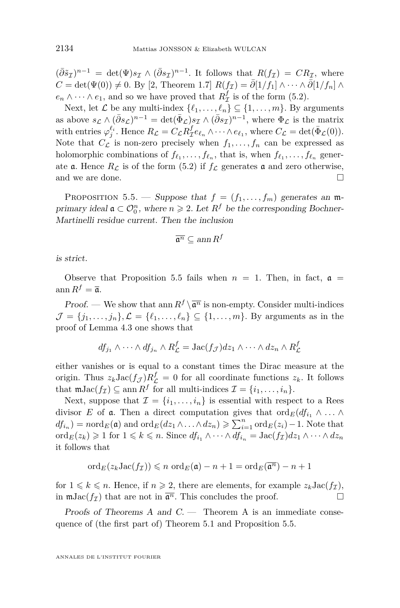<span id="page-16-0"></span> $(\bar{\partial}\tilde{s}_I)^{n-1} = \det(\Psi)s_I \wedge (\bar{\partial}s_I)^{n-1}$ . It follows that  $R(f_I) = CR_I$ , where  $C = det(\Psi(0)) \neq 0$ . By [\[2,](#page-23-0) Theorem 1.7]  $R(f_{\mathcal{I}}) = \overline{\partial}[1/f_1] \wedge \cdots \wedge \overline{\partial}[1/f_n] \wedge$  $e_n \wedge \cdots \wedge e_1$ , and so we have proved that  $R^f_\mathcal{I}$  is of the form [\(5.2\)](#page-13-0).

Next, let  $\mathcal{L}$  be any multi-index  $\{\ell_1, \ldots, \ell_n\} \subseteq \{1, \ldots, m\}$ . By arguments as above  $s_{\mathcal{L}} \wedge (\bar{\partial}s_{\mathcal{L}})^{n-1} = \det(\bar{\Phi}_{\mathcal{L}})s_{\mathcal{I}} \wedge (\bar{\partial}s_{\mathcal{I}})^{n-1}$ , where  $\Phi_{\mathcal{L}}$  is the matrix with entries  $\varphi_j^{\ell_i}$ . Hence  $R_{\mathcal{L}} = C_{\mathcal{L}} R_{\mathcal{I}}^f e_{\ell_n} \wedge \cdots \wedge e_{\ell_1}$ , where  $C_{\mathcal{L}} = \det(\bar{\Phi}_{\mathcal{L}}(0))$ . Note that  $C_{\mathcal{L}}$  is non-zero precisely when  $f_1, \ldots, f_n$  can be expressed as holomorphic combinations of  $f_{\ell_1}, \ldots, f_{\ell_n}$ , that is, when  $f_{\ell_1}, \ldots, f_{\ell_n}$  generate **a**. Hence  $R<sub>C</sub>$  is of the form [\(5.2\)](#page-13-0) if  $f<sub>C</sub>$  generates **a** and zero otherwise, and we are done.

PROPOSITION 5.5. — Suppose that  $f = (f_1, \ldots, f_m)$  generates an mprimary ideal  $\mathfrak{a} \subset \mathcal{O}_0^n$ , where  $n \geq 2$ . Let  $R^f$  be the corresponding Bochner-Martinelli residue current. Then the inclusion

$$
\overline{\mathfrak{a}^n} \subseteq \operatorname{ann} R^f
$$

is strict.

Observe that Proposition 5.5 fails when  $n = 1$ . Then, in fact,  $\mathfrak{a} =$  $\operatorname{ann} R^f = \overline{\mathfrak{a}}.$ 

*Proof.* — We show that ann  $R^f \setminus \overline{a^n}$  is non-empty. Consider multi-indices  $\mathcal{J} = \{j_1, \ldots, j_n\}, \mathcal{L} = \{\ell_1, \ldots, \ell_n\} \subseteq \{1, \ldots, m\}.$  By arguments as in the proof of Lemma [4.3](#page-12-0) one shows that

$$
df_{j_1} \wedge \cdots \wedge df_{j_n} \wedge R_{\mathcal{L}}^f = \text{Jac}(f_{\mathcal{J}})dz_1 \wedge \cdots \wedge dz_n \wedge R_{\mathcal{L}}^f
$$

either vanishes or is equal to a constant times the Dirac measure at the origin. Thus  $z_k \text{Jac}(f_{\mathcal{J}}) R_{\mathcal{L}}^f = 0$  for all coordinate functions  $z_k$ . It follows that  $\mathfrak{m}Jac(f_{\mathcal{I}})\subseteq \text{ann } R^f$  for all multi-indices  $\mathcal{I} = \{i_1, \ldots, i_n\}.$ 

Next, suppose that  $\mathcal{I} = \{i_1, \ldots, i_n\}$  is essential with respect to a Rees divisor *E* of **a**. Then a direct computation gives that  $\text{ord}_E(df_{i_1} \wedge \ldots \wedge$  $df_{i_n}$  =  $nord_E(\mathfrak{a})$  and  $ord_E(dz_1 \wedge \ldots \wedge dz_n) \geqslant \sum_{i=1}^n ord_E(z_i) - 1$ . Note that  $\text{ord}_E(z_k) \geq 1$  for  $1 \leq k \leq n$ . Since  $df_{i_1} \wedge \cdots \wedge df_{i_n} = \text{Jac}(f_{\mathcal{I}})dz_1 \wedge \cdots \wedge dz_n$ it follows that

$$
\mathrm{ord}_E(z_k \mathrm{Jac}(f_{\mathcal{I}})) \leqslant n \; \mathrm{ord}_E(\mathfrak{a}) - n + 1 = \mathrm{ord}_E(\overline{\mathfrak{a}^n}) - n + 1
$$

for  $1 \leq k \leq n$ . Hence, if  $n \geq 2$ , there are elements, for example  $z_k \text{Jac}(f)$ , in  $\mathfrak{m}$ Jac $(f_{\mathcal{I}})$  that are not in  $\overline{\mathfrak{a}^n}$ . This concludes the proof.

Proofs of Theorems A and  $C$ . — Theorem A is an immediate consequence of (the first part of) Theorem [5.1](#page-13-0) and Proposition 5.5.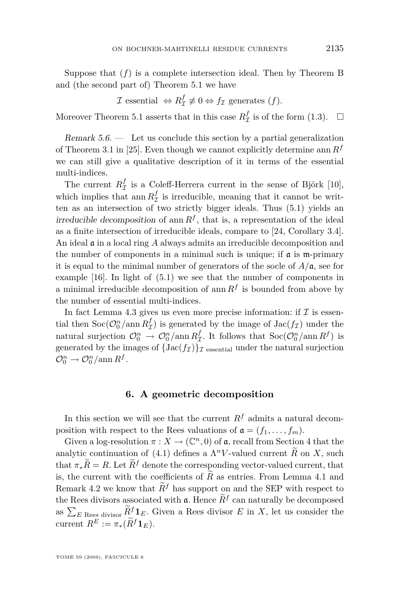<span id="page-17-0"></span>Suppose that  $(f)$  is a complete intersection ideal. Then by Theorem B and (the second part of) Theorem [5.1](#page-13-0) we have

 $\mathcal{I}$  essential  $\Leftrightarrow R^f_{\mathcal{I}} \not\equiv 0 \Leftrightarrow f_{\mathcal{I}}$  generates  $(f)$ *.* 

Moreover Theorem [5.1](#page-13-0) asserts that in this case  $R^f_{\mathcal{I}}$  is of the form [\(1.3\)](#page-3-0).  $\Box$ 

Remark  $5.6.$  — Let us conclude this section by a partial generalization of Theorem 3.1 in [\[25\]](#page-24-0). Even though we cannot explicitly determine ann *R<sup>f</sup>* we can still give a qualitative description of it in terms of the essential multi-indices.

The current  $R^f_{\mathcal{I}}$  is a Coleff-Herrera current in the sense of Björk [\[10\]](#page-23-0), which implies that ann  $R^f_{\mathcal{I}}$  is irreducible, meaning that it cannot be written as an intersection of two strictly bigger ideals. Thus [\(5.1\)](#page-13-0) yields an irreducible decomposition of ann  $R<sup>f</sup>$ , that is, a representation of the ideal as a finite intersection of irreducible ideals, compare to [\[24,](#page-24-0) Corollary 3.4]. An ideal a in a local ring *A* always admits an irreducible decomposition and the number of components in a minimal such is unique; if  $\alpha$  is  $m$ -primary it is equal to the minimal number of generators of the socle of  $A/\mathfrak{a}$ , see for example [\[16\]](#page-23-0). In light of [\(5.1\)](#page-13-0) we see that the number of components in a minimal irreducible decomposition of ann  $R^f$  is bounded from above by the number of essential multi-indices.

In fact Lemma [4.3](#page-12-0) gives us even more precise information: if  $\mathcal I$  is essential then  $\text{Soc}(\mathcal{O}_0^n / \text{ann } R^f_{\mathcal{I}})$  is generated by the image of  $\text{Jac}(f_{\mathcal{I}})$  under the natural surjection  $\mathcal{O}_0^n \to \mathcal{O}_0^n / \text{ann } R^f_\mathcal{I}$ . It follows that  $\text{Soc}(\mathcal{O}_0^n / \text{ann } R^f)$  is generated by the images of  $\{Jac(f_{\mathcal{I}})\}_{\mathcal{I}}$  essential under the natural surjection  $\mathcal{O}_0^n \to \mathcal{O}_0^n / \mathrm{ann} R^f$ .

#### **6. A geometric decomposition**

In this section we will see that the current  $R^f$  admits a natural decomposition with respect to the Rees valuations of  $\mathfrak{a} = (f_1, \ldots, f_m)$ .

Given a log-resolution  $\pi : X \to (\mathbb{C}^n, 0)$  of  $\mathfrak{a}$ , recall from Section [4](#page-10-0) that the analytic continuation of [\(4.1\)](#page-10-0) defines a  $\Lambda^n V$ -valued current  $\widetilde{R}$  on *X*, such that  $\pi_*\widetilde{R} = R$ . Let  $\widetilde{R}^f$  denote the corresponding vector-valued current, that is, the current with the coefficients of  $R$  as entries. From Lemma [4.1](#page-11-0) and Remark [4.2](#page-11-0) we know that  $\widetilde{R}^f$  has support on and the SEP with respect to the Rees divisors associated with  $\mathfrak{a}$ . Hence  $R^f$  can naturally be decomposed as  $\sum_{E \text{ Res distribution}} \tilde{R}^f \mathbf{1}_E$ . Given a Rees divisor *E* in *X*, let us consider the current  $R^E := \pi_*(\widetilde{R}^f \mathbf{1}_E).$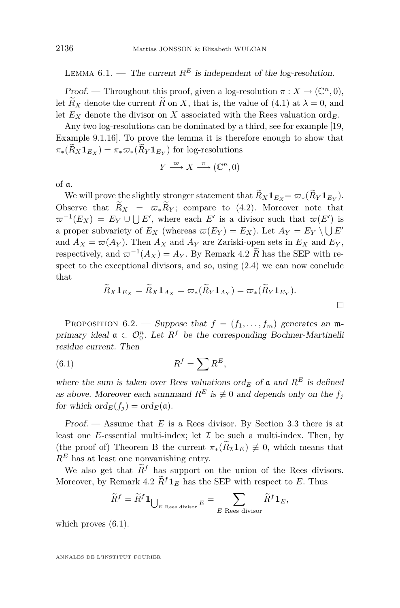<span id="page-18-0"></span>LEMMA 6.1. — The current  $R^E$  is independent of the log-resolution.

Proof. — Throughout this proof, given a log-resolution  $\pi : X \to (\mathbb{C}^n, 0)$ , let  $R_X$  denote the current  $R$  on  $X$ , that is, the value of [\(4.1\)](#page-10-0) at  $\lambda = 0$ , and let  $E_X$  denote the divisor on *X* associated with the Rees valuation ord<sub>*E*</sub>.

Any two log-resolutions can be dominated by a third, see for example [\[19,](#page-23-0) Example 9.1.16]. To prove the lemma it is therefore enough to show that  $\pi_*(R_X \mathbf{1}_{E_X}) = \pi_* \varpi_*(R_Y \mathbf{1}_{E_Y})$  for log-resolutions

$$
Y \xrightarrow{\varpi} X \xrightarrow{\pi} (\mathbb{C}^n, 0)
$$

of a.

We will prove the slightly stronger statement that  $R_X \mathbf{1}_{E_X} = \varpi_*(R_Y \mathbf{1}_{E_Y}).$ Observe that  $\widetilde{R}_X = \overline{\omega}_* \widetilde{R}_Y$ ; compare to [\(4.2\)](#page-10-0). Moreover note that  $\varpi^{-1}(E_X) = E_Y \cup \bigcup E'$ , where each *E'* is a divisor such that  $\varpi(E')$  is a proper subvariety of  $E_X$  (whereas  $\varpi(E_Y) = E_X$ ). Let  $A_Y = E_Y \setminus \bigcup E'$ and  $A_X = \varpi(A_Y)$ . Then  $A_X$  and  $A_Y$  are Zariski-open sets in  $E_X$  and  $E_Y$ , respectively, and  $\varpi^{-1}(A_X) = A_Y$ . By Remark [4.2](#page-11-0) *R* has the SEP with respect to the exceptional divisors, and so, using [\(2.4\)](#page-6-0) we can now conclude that

$$
\widetilde{R}_X \mathbf{1}_{E_X} = \widetilde{R}_X \mathbf{1}_{A_X} = \varpi_*(\widetilde{R}_Y \mathbf{1}_{A_Y}) = \varpi_*(\widetilde{R}_Y \mathbf{1}_{E_Y}).
$$

PROPOSITION 6.2. — Suppose that  $f = (f_1, \ldots, f_m)$  generates an mprimary ideal  $\mathfrak{a} \subset \mathcal{O}_0^n$ . Let  $R^f$  be the corresponding Bochner-Martinelli residue current. Then

(6.1) *R <sup>f</sup>* = X*R E,*

where the sum is taken over Rees valuations  $\operatorname{ord}_E$  of  $\mathfrak a$  and  $R^E$  is defined as above. Moreover each summand  $R^E$  is  $\neq 0$  and depends only on the  $f_i$ for which  $\operatorname{ord}_E(f_i) = \operatorname{ord}_E(\mathfrak{a}).$ 

Proof. — Assume that *E* is a Rees divisor. By Section [3.3](#page-9-0) there is at least one *E*-essential multi-index; let  $\mathcal I$  be such a multi-index. Then, by (the proof of) Theorem B the current  $\pi_*(R_{\mathcal{I}}\mathbf{1}_E) \neq 0$ , which means that  $R<sup>E</sup>$  has at least one nonvanishing entry.

We also get that  $\widetilde{R}^f$  has support on the union of the Rees divisors. Moreover, by Remark [4.2](#page-11-0)  $\widetilde{R}^f 1_F$  has the SEP with respect to *E*. Thus

$$
\widetilde{R}^f = \widetilde{R}^f \mathbf{1}_{\bigcup_{E \text{ Rees divisor}} E} = \sum_{E \text{ Rees divisor}} \widetilde{R}^f \mathbf{1}_E,
$$

which proves  $(6.1)$ .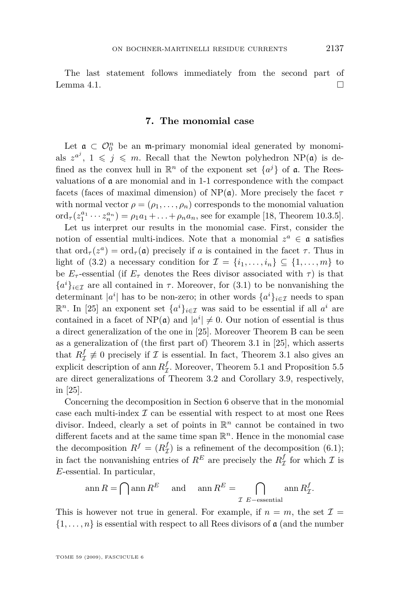<span id="page-19-0"></span>The last statement follows immediately from the second part of Lemma [4.1.](#page-11-0)  $\Box$ 

#### **7. The monomial case**

Let  $\mathfrak{a} \subset \mathcal{O}_0^n$  be an m-primary monomial ideal generated by monomials  $z^{a^j}$ ,  $1 \leqslant j \leqslant m$ . Recall that the Newton polyhedron NP(a) is defined as the convex hull in  $\mathbb{R}^n$  of the exponent set  $\{a^j\}$  of **a**. The Reesvaluations of  $\boldsymbol{\mathfrak{a}}$  are monomial and in 1-1 correspondence with the compact facets (faces of maximal dimension) of  $NP(\mathfrak{a})$ . More precisely the facet  $\tau$ with normal vector  $\rho = (\rho_1, \ldots, \rho_n)$  corresponds to the monomial valuation ord<sub>*τ*</sub>( $z_1^{a_1} \cdots z_n^{a_n}$ ) =  $\rho_1 a_1 + \ldots + \rho_n a_n$ , see for example [\[18,](#page-23-0) Theorem 10.3.5].

Let us interpret our results in the monomial case. First, consider the notion of essential multi-indices. Note that a monomial  $z^a \in \mathfrak{a}$  satisfies that  $\text{ord}_{\tau}(z^a) = \text{ord}_{\tau}(\mathfrak{a})$  precisely if *a* is contained in the facet  $\tau$ . Thus in light of  $(3.2)$  a necessary condition for  $\mathcal{I} = \{i_1, \ldots, i_n\} \subseteq \{1, \ldots, m\}$  to be  $E_{\tau}$ -essential (if  $E_{\tau}$  denotes the Rees divisor associated with  $\tau$ ) is that  ${a<sup>i</sup>}_{i \in \mathcal{I}}$  are all contained in *τ*. Moreover, for [\(3.1\)](#page-10-0) to be nonvanishing the determinant  $|a^i|$  has to be non-zero; in other words  $\{a^i\}_{i\in\mathcal{I}}$  needs to span **R**<sup>*n*</sup>. In [\[25\]](#page-24-0) an exponent set  $\{a^i\}_{i \in \mathcal{I}}$  was said to be essential if all  $a^i$  are contained in a facet of  $NP(\mathfrak{a})$  and  $|a^i| \neq 0$ . Our notion of essential is thus a direct generalization of the one in [\[25\]](#page-24-0). Moreover Theorem B can be seen as a generalization of (the first part of) Theorem 3.1 in [\[25\]](#page-24-0), which asserts that  $R^f_{\mathcal{I}} \not\equiv 0$  precisely if  $\mathcal{I}$  is essential. In fact, Theorem 3.1 also gives an explicit description of ann  $R^f_{\mathcal{I}}$ . Moreover, Theorem [5.1](#page-13-0) and Proposition [5.5](#page-16-0) are direct generalizations of Theorem 3.2 and Corollary 3.9, respectively, in [\[25\]](#page-24-0).

Concerning the decomposition in Section [6](#page-17-0) observe that in the monomial case each multi-index *I* can be essential with respect to at most one Rees divisor. Indeed, clearly a set of points in R *<sup>n</sup>* cannot be contained in two different facets and at the same time span  $\mathbb{R}^n$ . Hence in the monomial case the decomposition  $R^f = (R^f_\mathcal{I})$  is a refinement of the decomposition [\(6.1\)](#page-18-0); in fact the nonvanishing entries of  $R^E$  are precisely the  $R^f_\mathcal{I}$  for which  $\mathcal{I}$  is *E*-essential. In particular,

$$
\operatorname{ann} R = \bigcap \operatorname{ann} R^E \quad \text{and} \quad \operatorname{ann} R^E = \bigcap_{\mathcal{I} \text{ } E-\text{essential}} \operatorname{ann} R^f_{\mathcal{I}}.
$$

This is however not true in general. For example, if  $n = m$ , the set  $\mathcal{I} =$  $\{1, \ldots, n\}$  is essential with respect to all Rees divisors of a (and the number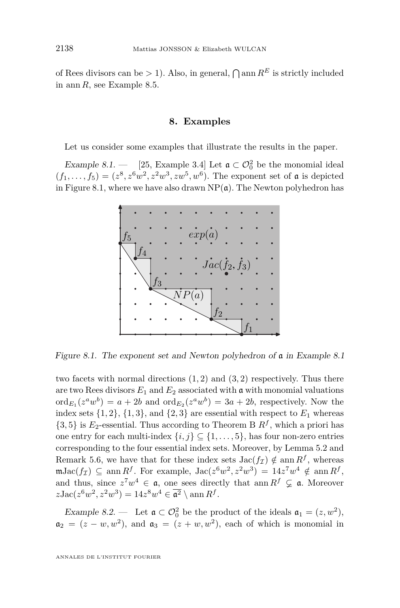<span id="page-20-0"></span>of Rees divisors can be  $> 1$ ). Also, in general,  $\bigcap$  ann  $R^E$  is strictly included in ann *R*, see Example [8.5.](#page-22-0)

#### **8. Examples**

Let us consider some examples that illustrate the results in the paper.

Example 8.1. — [\[25,](#page-24-0) Example 3.4] Let  $\mathfrak{a} \subset \mathcal{O}_0^2$  be the monomial ideal  $(f_1, \ldots, f_5) = (z^8, z^6 w^2, z^2 w^3, zw^5, w^6)$ . The exponent set of **a** is depicted in Figure 8.1, where we have also drawn  $NP(\mathfrak{a})$ . The Newton polyhedron has



Figure 8.1. The exponent set and Newton polyhedron of a in Example 8.1

two facets with normal directions (1*,* 2) and (3*,* 2) respectively. Thus there are two Rees divisors  $E_1$  and  $E_2$  associated with a with monomial valuations  $\operatorname{ord}_{E_1}(z^a w^b) = a + 2b$  and  $\operatorname{ord}_{E_2}(z^a w^b) = 3a + 2b$ , respectively. Now the index sets  $\{1, 2\}$ ,  $\{1, 3\}$ , and  $\{2, 3\}$  are essential with respect to  $E_1$  whereas  $\{3, 5\}$  is  $E_2$ -essential. Thus according to Theorem B  $R^f$ , which a priori has one entry for each multi-index  $\{i, j\} \subseteq \{1, \ldots, 5\}$ , has four non-zero entries corresponding to the four essential index sets. Moreover, by Lemma [5.2](#page-13-0) and Remark [5.6,](#page-17-0) we have that for these index sets  $Jac(f_{\mathcal{I}}) \notin \text{ann } R^f$ , whereas  $m\text{Jac}(f_{\mathcal{I}}) \subseteq \text{ann } R^f$ . For example,  $\text{Jac}(z^6w^2, z^2w^3) = 14z^7w^4 \notin \text{ann } R^f$ , and thus, since  $z^7w^4 \in \mathfrak{a}$ , one sees directly that ann  $R^f \subsetneq \mathfrak{a}$ . Moreover  $z\text{Jac}(z^6w^2, z^2w^3) = 14z^8w^4 \in \overline{\mathfrak{a}^2} \setminus \text{ann } R^f.$ 

Example 8.2. — Let  $\mathfrak{a} \subset \mathcal{O}_0^2$  be the product of the ideals  $\mathfrak{a}_1 = (z, w^2)$ ,  $a_2 = (z - w, w^2)$ , and  $a_3 = (z + w, w^2)$ , each of which is monomial in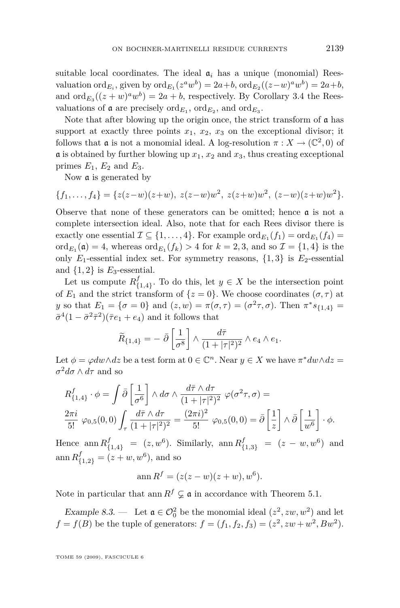<span id="page-21-0"></span>suitable local coordinates. The ideal  $a_i$  has a unique (monomial) Reesvaluation  $\operatorname{ord}_{E_i}$ , given by  $\operatorname{ord}_{E_1}(z^a w^b) = 2a + b$ ,  $\operatorname{ord}_{E_2}((z-w)^a w^b) = 2a + b$ , and  $\operatorname{ord}_{E_3}((z+w)^a w^b) = 2a + b$ , respectively. By Corollary [3.4](#page-9-0) the Reesvaluations of  $\mathfrak a$  are precisely  $\mathrm{ord}_{E_1}$ ,  $\mathrm{ord}_{E_2}$ , and  $\mathrm{ord}_{E_3}$ .

Note that after blowing up the origin once, the strict transform of  $\alpha$  has support at exactly three points  $x_1$ ,  $x_2$ ,  $x_3$  on the exceptional divisor; it follows that  $\mathfrak{a}$  is not a monomial ideal. A log-resolution  $\pi : X \to (\mathbb{C}^2, 0)$  of  $\alpha$  is obtained by further blowing up  $x_1, x_2$  and  $x_3$ , thus creating exceptional primes  $E_1$ ,  $E_2$  and  $E_3$ .

Now a is generated by

$$
\{f_1,\ldots,f_4\} = \{z(z-w)(z+w),\ z(z-w)w^2,\ z(z+w)w^2,\ (z-w)(z+w)w^2\}.
$$

Observe that none of these generators can be omitted; hence  $\mathfrak a$  is not a complete intersection ideal. Also, note that for each Rees divisor there is exactly one essential  $\mathcal{I} \subseteq \{1, \ldots, 4\}$ . For example  $\mathrm{ord}_{E_1}(f_1) = \mathrm{ord}_{E_1}(f_4) =$  $\mathrm{ord}_{E_1}(\mathfrak{a}) = 4$ , whereas  $\mathrm{ord}_{E_1}(f_k) > 4$  for  $k = 2, 3$ , and so  $\mathcal{I} = \{1, 4\}$  is the only  $E_1$ -essential index set. For symmetry reasons,  $\{1,3\}$  is  $E_2$ -essential and  $\{1,2\}$  is  $E_3$ -essential.

Let us compute *R f*  $_{\{1,4\}}^J$ . To do this, let  $y \in X$  be the intersection point of  $E_1$  and the strict transform of  $\{z=0\}$ . We choose coordinates  $(\sigma, \tau)$  at *y* so that  $E_1 = \{ \sigma = 0 \}$  and  $(z, w) = \pi(\sigma, \tau) = (\sigma^2 \tau, \sigma)$ . Then  $\pi^* s_{\{1,4\}} =$  $\bar{\sigma}^4(1-\bar{\sigma}^2\bar{\tau}^2)(\bar{\tau}e_1+e_4)$  and it follows that

$$
\widetilde{R}_{\{1,4\}} = - \bar{\partial} \left[ \frac{1}{\sigma^8} \right] \wedge \frac{d\bar{\tau}}{(1+|\tau|^2)^2} \wedge e_4 \wedge e_1.
$$

Let  $\phi = \varphi dw \wedge dz$  be a test form at  $0 \in \mathbb{C}^n$ . Near  $y \in X$  we have  $\pi^* dw \wedge dz =$  $\sigma^2 d\sigma \wedge d\tau$  and so

$$
R_{\{1,4\}}^f \cdot \phi = \int \bar{\partial} \left[ \frac{1}{\sigma^6} \right] \wedge d\sigma \wedge \frac{d\bar{\tau} \wedge d\tau}{(1+|\tau|^2)^2} \varphi(\sigma^2 \tau, \sigma) =
$$
  

$$
\frac{2\pi i}{5!} \varphi_{0,5}(0,0) \int_{\tau} \frac{d\bar{\tau} \wedge d\tau}{(1+|\tau|^2)^2} = \frac{(2\pi i)^2}{5!} \varphi_{0,5}(0,0) = \bar{\partial} \left[ \frac{1}{z} \right] \wedge \bar{\partial} \left[ \frac{1}{w^6} \right] \cdot \phi.
$$

Hence  $\text{ann } R^f_{\{1,4\}} = (z, w^6)$ . Similarly,  $\text{ann } R^f_{\{1,3\}} = (z - w, w^6)$  and  $\text{ann } R^f_{\{1,2\}} = (z+w,w^6), \text{ and so}$ 

$$
\operatorname{ann} R^f = (z(z - w)(z + w), w^6).
$$

Note in particular that ann  $R^f \subsetneq \mathfrak{a}$  in accordance with Theorem [5.1.](#page-13-0)

Example 8.3. — Let  $\mathfrak{a} \in \mathcal{O}_0^2$  be the monomial ideal  $(z^2, zw, w^2)$  and let  $f = f(B)$  be the tuple of generators:  $f = (f_1, f_2, f_3) = (z^2, zw + w^2, Bw^2)$ .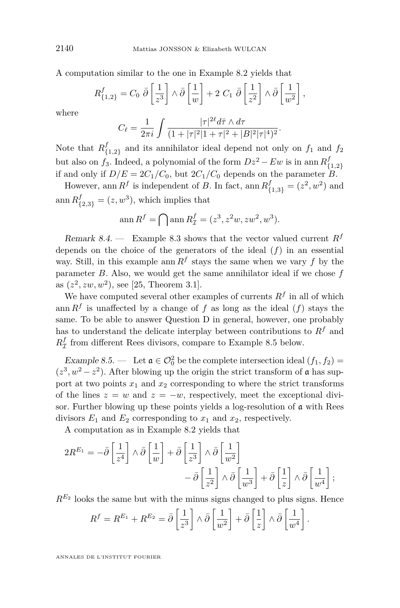<span id="page-22-0"></span>A computation similar to the one in Example [8.2](#page-20-0) yields that

$$
R_{\{1,2\}}^f = C_0 \ \overline{\partial} \left[ \frac{1}{z^3} \right] \wedge \overline{\partial} \left[ \frac{1}{w} \right] + 2 \ C_1 \ \overline{\partial} \left[ \frac{1}{z^2} \right] \wedge \overline{\partial} \left[ \frac{1}{w^2} \right],
$$

where

$$
C_{\ell} = \frac{1}{2\pi i} \int \frac{|\tau|^{2\ell} d\bar{\tau} \wedge d\tau}{(1 + |\tau|^2 |1 + \tau|^2 + |B|^2 |\tau|^4)^2}.
$$

Note that *R f*  $f_{\{1,2\}}$  and its annihilator ideal depend not only on  $f_1$  and  $f_2$ but also on  $f_3$ . Indeed, a polynomial of the form  $Dz^2 - Ew$  is in ann  $R_f^f$ *{*1*,*2*}* if and only if  $D/E = 2C_1/C_0$ , but  $2C_1/C_0$  depends on the parameter *B*.

However, ann  $R^f$  is independent of *B*. In fact, ann  $R^f_{\{1,3\}} = (z^2, w^2)$  and  $\text{ann } R^f_{\{2,3\}} = (z, w^3)$ , which implies that

$$
\operatorname{ann} R^f = \bigcap \operatorname{ann} R^f_{\mathcal{I}} = (z^3, z^2w, zw^2, w^3).
$$

Remark 8.4. — Example [8.3](#page-21-0) shows that the vector valued current  $R^f$ depends on the choice of the generators of the ideal (*f*) in an essential way. Still, in this example ann  $R^f$  stays the same when we vary  $f$  by the parameter *B*. Also, we would get the same annihilator ideal if we chose *f* as  $(z^2, zw, w^2)$ , see [\[25,](#page-24-0) Theorem 3.1].

We have computed several other examples of currents  $R<sup>f</sup>$  in all of which ann  $R^f$  is unaffected by a change of  $f$  as long as the ideal  $(f)$  stays the same. To be able to answer Question D in general, however, one probably has to understand the delicate interplay between contributions to  $R<sup>f</sup>$  and  $R^f_\mathcal{I}$  from different Rees divisors, compare to Example 8.5 below.

Example 8.5. — Let  $\mathfrak{a} \in \mathcal{O}_0^2$  be the complete intersection ideal  $(f_1, f_2)$  =  $(z^3, w^2 - z^2)$ . After blowing up the origin the strict transform of a has support at two points  $x_1$  and  $x_2$  corresponding to where the strict transforms of the lines  $z = w$  and  $z = -w$ , respectively, meet the exceptional divisor. Further blowing up these points yields a log-resolution of a with Rees divisors  $E_1$  and  $E_2$  corresponding to  $x_1$  and  $x_2$ , respectively.

A computation as in Example [8.2](#page-20-0) yields that

$$
\begin{split} 2R^{E_1} = -\bar{\partial} \left[ \frac{1}{z^4} \right] \wedge \bar{\partial} \left[ \frac{1}{w} \right] + \bar{\partial} \left[ \frac{1}{z^3} \right] \wedge \bar{\partial} \left[ \frac{1}{w^2} \right] \\ &\quad - \bar{\partial} \left[ \frac{1}{z^2} \right] \wedge \bar{\partial} \left[ \frac{1}{w^3} \right] + \bar{\partial} \left[ \frac{1}{z} \right] \wedge \bar{\partial} \left[ \frac{1}{w^4} \right]; \end{split}
$$

 $R^{E_2}$  looks the same but with the minus signs changed to plus signs. Hence

$$
R^{f} = R^{E_1} + R^{E_2} = \bar{\partial} \left[ \frac{1}{z^3} \right] \wedge \bar{\partial} \left[ \frac{1}{w^2} \right] + \bar{\partial} \left[ \frac{1}{z} \right] \wedge \bar{\partial} \left[ \frac{1}{w^4} \right].
$$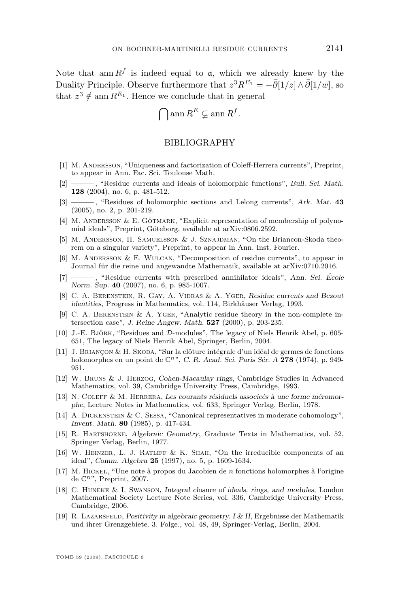<span id="page-23-0"></span>Note that  $\text{ann } R^f$  is indeed equal to  $a$ , which we already knew by the Duality Principle. Observe furthermore that  $z^3 R^{E_1} = -\overline{\partial}[1/z] \wedge \overline{\partial}[1/w]$ , so that  $z^3 \notin \text{ann } R^{E_1}$ . Hence we conclude that in general

$$
\bigcap \operatorname{ann} R^E \varsubsetneq \operatorname{ann} R^f.
$$

#### BIBLIOGRAPHY

- [1] M. Andersson, "Uniqueness and factorization of Coleff-Herrera currents", Preprint, to appear in Ann. Fac. Sci. Toulouse Math.
- [2] ——— , "Residue currents and ideals of holomorphic functions", Bull. Sci. Math. **128** (2004), no. 6, p. 481-512.
- [3] ——— , "Residues of holomorphic sections and Lelong currents", Ark. Mat. **43** (2005), no. 2, p. 201-219.
- [4] M. ANDERSSON & E. GÖTMARK, "Explicit representation of membership of polynomial ideals", Preprint, Göteborg, available at arXiv:0806.2592.
- [5] M. Andersson, H. Samuelsson & J. Sznajdman, "On the Briancon-Skoda theorem on a singular variety", Preprint, to appear in Ann. Inst. Fourier.
- [6] M. Andersson & E. Wulcan, "Decomposition of residue currents", to appear in Journal für die reine und angewandte Mathematik, available at arXiv:0710.2016.
- [7] ——— , "Residue currents with prescribed annihilator ideals", Ann. Sci. École Norm. Sup. **40** (2007), no. 6, p. 985-1007.
- [8] C. A. Berenstein, R. Gay, A. Vidras & A. Yger, Residue currents and Bezout identities, Progress in Mathematics, vol. 114, Birkhäuser Verlag, 1993.
- [9] C. A. Berenstein & A. Yger, "Analytic residue theory in the non-complete intersection case", J. Reine Angew. Math. **527** (2000), p. 203-235.
- [10] J.-E. Björk, "Residues and *D*-modules", The legacy of Niels Henrik Abel, p. 605- 651, The legacy of Niels Henrik Abel, Springer, Berlin, 2004.
- [11] J. BRIANÇON & H. SKODA, "Sur la clôture intégrale d'un idéal de germes de fonctions holomorphes en un point de C*n*", C. R. Acad. Sci. Paris Sér. A **278** (1974), p. 949- 951.
- [12] W. Bruns & J. Herzog, Cohen-Macaulay rings, Cambridge Studies in Advanced Mathematics, vol. 39, Cambridge University Press, Cambridge, 1993.
- [13] N. Coleff & M. Herrera, Les courants résiduels associcés à une forme méromorphe, Lecture Notes in Mathematics, vol. 633, Springer Verlag, Berlin, 1978.
- [14] A. Dickenstein & C. Sessa, "Canonical representatives in moderate cohomology", Invent. Math. **80** (1985), p. 417-434.
- [15] R. HARTSHORNE, Algebraic Geometry, Graduate Texts in Mathematics, vol. 52, Springer Verlag, Berlin, 1977.
- [16] W. Heinzer, L. J. Ratliff & K. Shah, "On the irreducible components of an ideal", Comm. Algebra **25** (1997), no. 5, p. 1609-1634.
- [17] M. Hickel, "Une note à propos du Jacobien de *n* fonctions holomorphes à l'origine de C*n*", Preprint, 2007.
- [18] C. Huneke & I. Swanson, Integral closure of ideals, rings, and modules, London Mathematical Society Lecture Note Series, vol. 336, Cambridge University Press, Cambridge, 2006.
- [19] R. LAZARSFELD, Positivity in algebraic geometry. I & II, Ergebnisse der Mathematik und ihrer Grenzgebiete. 3. Folge., vol. 48, 49, Springer-Verlag, Berlin, 2004.